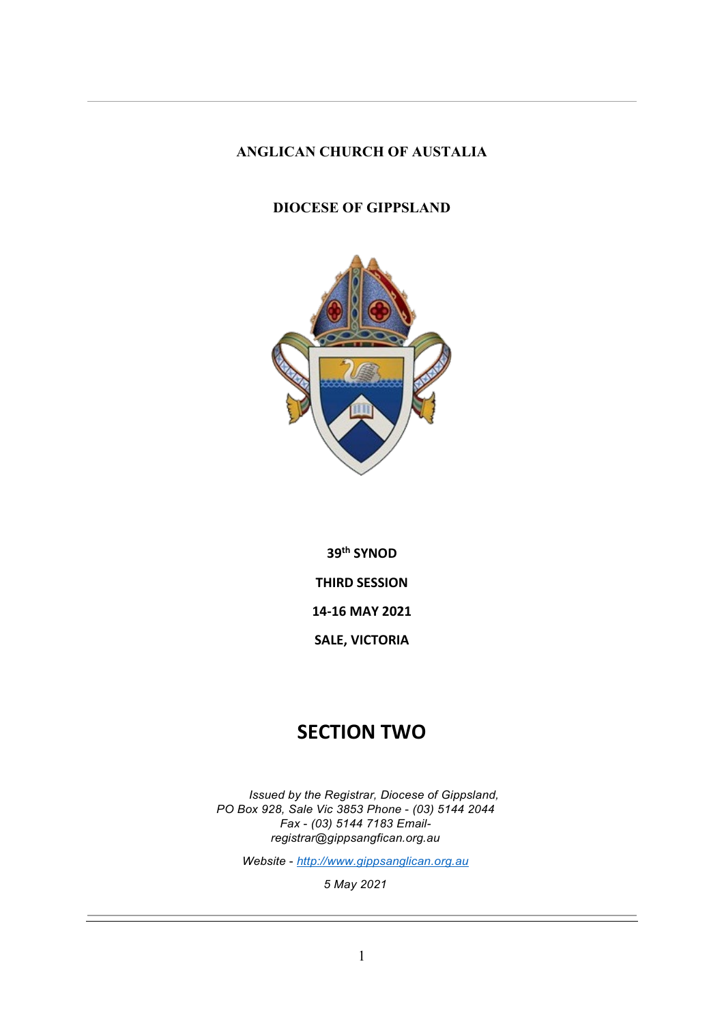### **ANGLICAN CHURCH OF AUSTALIA**

### **DIOCESE OF GIPPSLAND**



**39th SYNOD THIRD SESSION 14-16 MAY 2021 SALE, VICTORIA**

## **SECTION TWO**

*Issued by the Registrar, Diocese of Gippsland, PO Box 928, Sale Vic 3853 Phone* - *(03) 5144 2044 Fax* - *(03) 5144 7183 Email[registrar@gippsangfican.org.au](mailto:registrar@gippsangfican.org.au)*

*Website* - *[http://www.gippsanglican.org.au](http://www.gippsanglican.org.au/)*

*5 May 2021*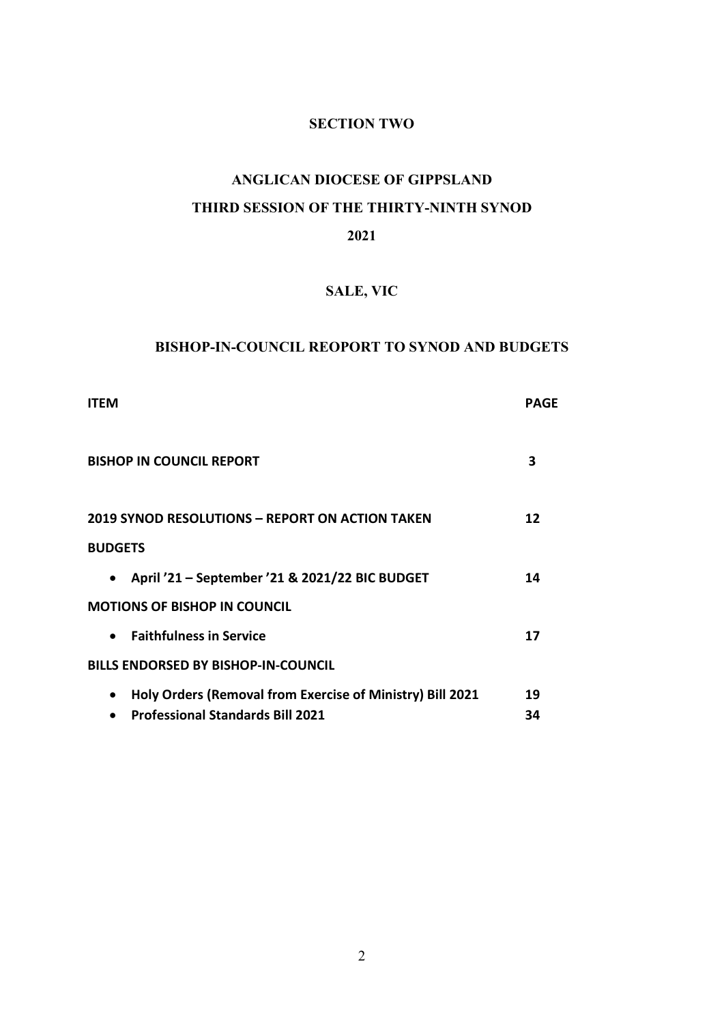### **SECTION TWO**

# **ANGLICAN DIOCESE OF GIPPSLAND THIRD SESSION OF THE THIRTY-NINTH SYNOD 2021**

# **SALE, VIC**

### **BISHOP-IN-COUNCIL REOPORT TO SYNOD AND BUDGETS**

| <b>ITFM</b>                                                            | PAGF |
|------------------------------------------------------------------------|------|
| <b>BISHOP IN COUNCIL REPORT</b>                                        | 3    |
| <b>2019 SYNOD RESOLUTIONS - REPORT ON ACTION TAKEN</b>                 | 12   |
| <b>BUDGETS</b>                                                         |      |
| April '21 - September '21 & 2021/22 BIC BUDGET<br>$\bullet$            | 14   |
| <b>MOTIONS OF BISHOP IN COUNCIL</b>                                    |      |
| <b>Faithfulness in Service</b><br>$\bullet$                            | 17   |
| <b>BILLS ENDORSED BY BISHOP-IN-COUNCIL</b>                             |      |
| Holy Orders (Removal from Exercise of Ministry) Bill 2021<br>$\bullet$ | 19   |
| <b>Professional Standards Bill 2021</b>                                | 34   |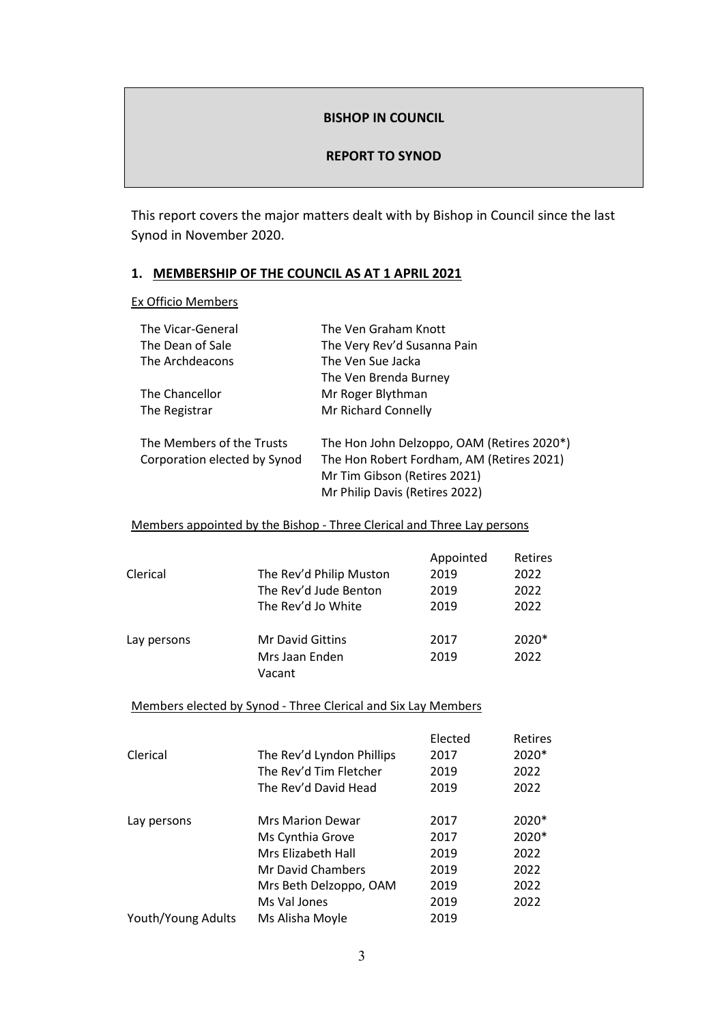### **BISHOP IN COUNCIL**

### **REPORT TO SYNOD**

This report covers the major matters dealt with by Bishop in Council since the last Synod in November 2020.

### **1. MEMBERSHIP OF THE COUNCIL AS AT 1 APRIL 2021**

Ex Officio Members

| The Vicar-General            | The Ven Graham Knott                       |
|------------------------------|--------------------------------------------|
| The Dean of Sale             | The Very Rev'd Susanna Pain                |
| The Archdeacons              | The Ven Sue Jacka                          |
|                              | The Ven Brenda Burney                      |
| The Chancellor               | Mr Roger Blythman                          |
| The Registrar                | Mr Richard Connelly                        |
| The Members of the Trusts    | The Hon John Delzoppo, OAM (Retires 2020*) |
| Corporation elected by Synod | The Hon Robert Fordham, AM (Retires 2021)  |
|                              | Mr Tim Gibson (Retires 2021)               |
|                              | Mr Philip Davis (Retires 2022)             |

### Members appointed by the Bishop - Three Clerical and Three Lay persons

|             |                         | Appointed | Retires |
|-------------|-------------------------|-----------|---------|
| Clerical    | The Rev'd Philip Muston | 2019      | 2022    |
|             | The Rev'd Jude Benton   | 2019      | 2022    |
|             | The Rev'd Jo White      | 2019      | 2022    |
| Lay persons | <b>Mr David Gittins</b> | 2017      | 2020*   |
|             | Mrs Jaan Enden          | 2019      | 2022    |
|             | Vacant                  |           |         |

Members elected by Synod - Three Clerical and Six Lay Members

|                    |                           | Elected | <b>Retires</b> |
|--------------------|---------------------------|---------|----------------|
| Clerical           | The Rev'd Lyndon Phillips | 2017    | 2020*          |
|                    | The Rev'd Tim Fletcher    | 2019    | 2022           |
|                    | The Rev'd David Head      | 2019    | 2022           |
| Lay persons        | <b>Mrs Marion Dewar</b>   | 2017    | $2020*$        |
|                    | Ms Cynthia Grove          | 2017    | 2020*          |
|                    | Mrs Elizabeth Hall        | 2019    | 2022           |
|                    | Mr David Chambers         | 2019    | 2022           |
|                    | Mrs Beth Delzoppo, OAM    | 2019    | 2022           |
|                    | Ms Val Jones              | 2019    | 2022           |
| Youth/Young Adults | Ms Alisha Moyle           | 2019    |                |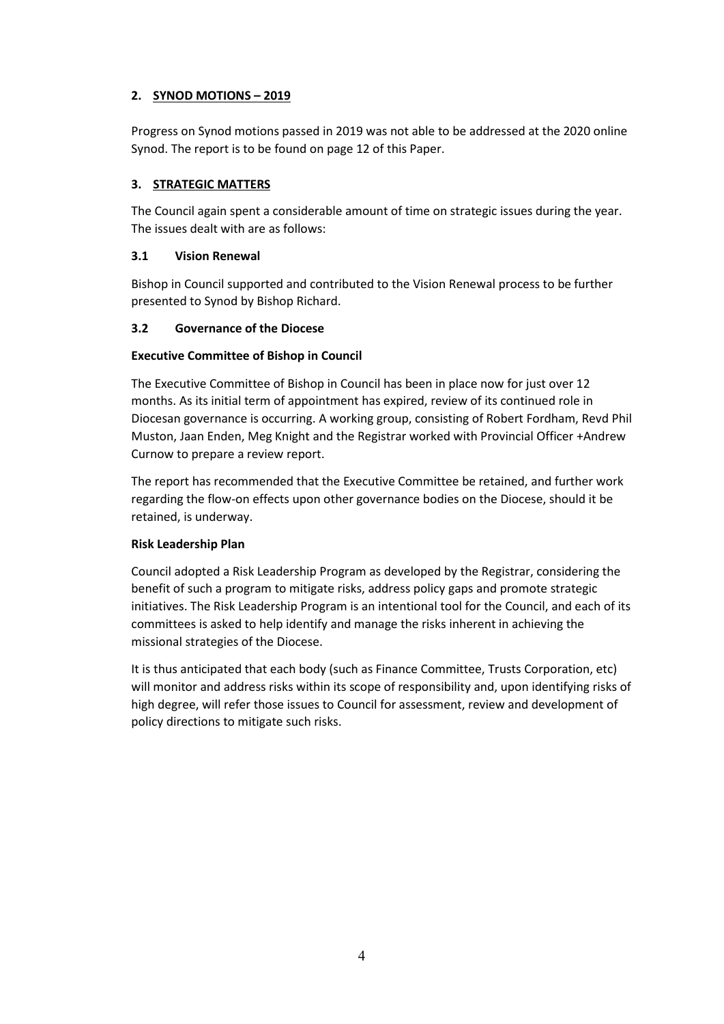### **2. SYNOD MOTIONS – 2019**

Progress on Synod motions passed in 2019 was not able to be addressed at the 2020 online Synod. The report is to be found on page 12 of this Paper.

### **3. STRATEGIC MATTERS**

The Council again spent a considerable amount of time on strategic issues during the year. The issues dealt with are as follows:

### **3.1 Vision Renewal**

Bishop in Council supported and contributed to the Vision Renewal process to be further presented to Synod by Bishop Richard.

### **3.2 Governance of the Diocese**

### **Executive Committee of Bishop in Council**

The Executive Committee of Bishop in Council has been in place now for just over 12 months. As its initial term of appointment has expired, review of its continued role in Diocesan governance is occurring. A working group, consisting of Robert Fordham, Revd Phil Muston, Jaan Enden, Meg Knight and the Registrar worked with Provincial Officer +Andrew Curnow to prepare a review report.

The report has recommended that the Executive Committee be retained, and further work regarding the flow-on effects upon other governance bodies on the Diocese, should it be retained, is underway.

### **Risk Leadership Plan**

Council adopted a Risk Leadership Program as developed by the Registrar, considering the benefit of such a program to mitigate risks, address policy gaps and promote strategic initiatives. The Risk Leadership Program is an intentional tool for the Council, and each of its committees is asked to help identify and manage the risks inherent in achieving the missional strategies of the Diocese.

It is thus anticipated that each body (such as Finance Committee, Trusts Corporation, etc) will monitor and address risks within its scope of responsibility and, upon identifying risks of high degree, will refer those issues to Council for assessment, review and development of policy directions to mitigate such risks.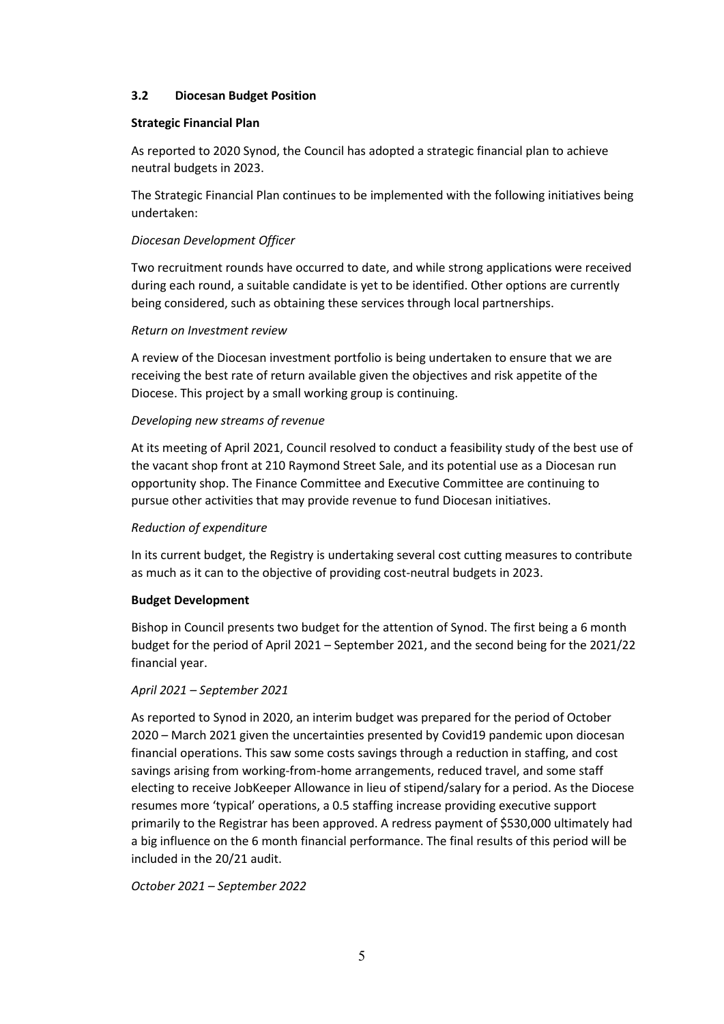### **3.2 Diocesan Budget Position**

### **Strategic Financial Plan**

As reported to 2020 Synod, the Council has adopted a strategic financial plan to achieve neutral budgets in 2023.

The Strategic Financial Plan continues to be implemented with the following initiatives being undertaken:

### *Diocesan Development Officer*

Two recruitment rounds have occurred to date, and while strong applications were received during each round, a suitable candidate is yet to be identified. Other options are currently being considered, such as obtaining these services through local partnerships.

#### *Return on Investment review*

A review of the Diocesan investment portfolio is being undertaken to ensure that we are receiving the best rate of return available given the objectives and risk appetite of the Diocese. This project by a small working group is continuing.

#### *Developing new streams of revenue*

At its meeting of April 2021, Council resolved to conduct a feasibility study of the best use of the vacant shop front at 210 Raymond Street Sale, and its potential use as a Diocesan run opportunity shop. The Finance Committee and Executive Committee are continuing to pursue other activities that may provide revenue to fund Diocesan initiatives.

#### *Reduction of expenditure*

In its current budget, the Registry is undertaking several cost cutting measures to contribute as much as it can to the objective of providing cost-neutral budgets in 2023.

#### **Budget Development**

Bishop in Council presents two budget for the attention of Synod. The first being a 6 month budget for the period of April 2021 – September 2021, and the second being for the 2021/22 financial year.

#### *April 2021 – September 2021*

As reported to Synod in 2020, an interim budget was prepared for the period of October 2020 – March 2021 given the uncertainties presented by Covid19 pandemic upon diocesan financial operations. This saw some costs savings through a reduction in staffing, and cost savings arising from working-from-home arrangements, reduced travel, and some staff electing to receive JobKeeper Allowance in lieu of stipend/salary for a period. As the Diocese resumes more 'typical' operations, a 0.5 staffing increase providing executive support primarily to the Registrar has been approved. A redress payment of \$530,000 ultimately had a big influence on the 6 month financial performance. The final results of this period will be included in the 20/21 audit.

*October 2021 – September 2022*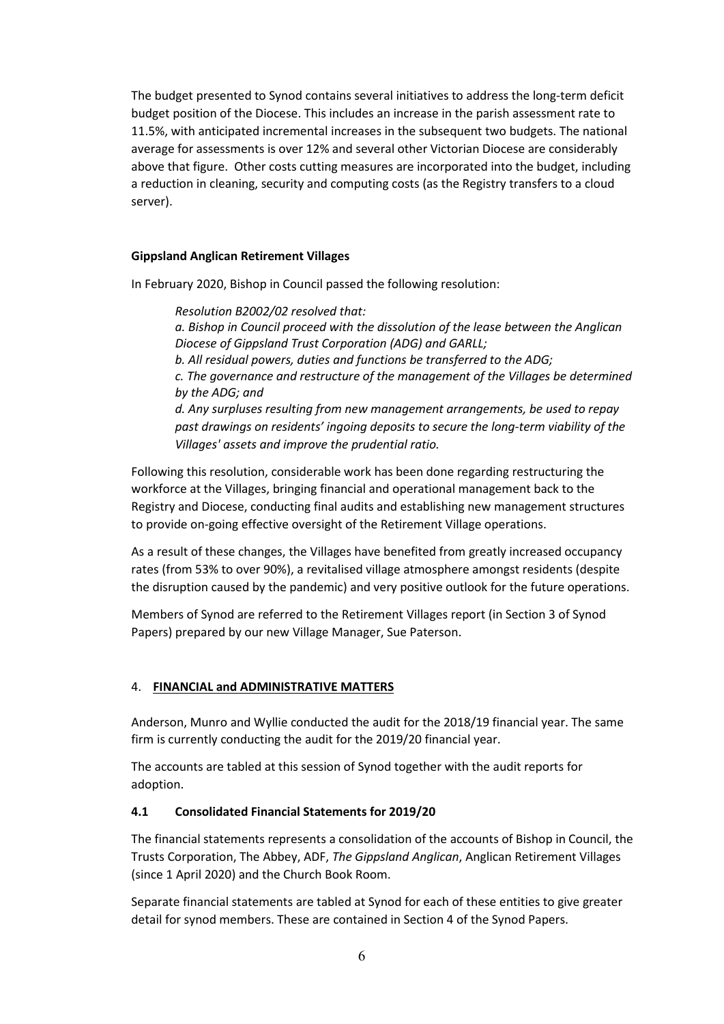The budget presented to Synod contains several initiatives to address the long-term deficit budget position of the Diocese. This includes an increase in the parish assessment rate to 11.5%, with anticipated incremental increases in the subsequent two budgets. The national average for assessments is over 12% and several other Victorian Diocese are considerably above that figure. Other costs cutting measures are incorporated into the budget, including a reduction in cleaning, security and computing costs (as the Registry transfers to a cloud server).

### **Gippsland Anglican Retirement Villages**

In February 2020, Bishop in Council passed the following resolution:

*Resolution B2002/02 resolved that: a. Bishop in Council proceed with the dissolution of the lease between the Anglican Diocese of Gippsland Trust Corporation (ADG) and GARLL; b. All residual powers, duties and functions be transferred to the ADG; c. The governance and restructure of the management of the Villages be determined by the ADG; and d. Any surpluses resulting from new management arrangements, be used to repay past drawings on residents' ingoing deposits to secure the long-term viability of the Villages' assets and improve the prudential ratio.*

Following this resolution, considerable work has been done regarding restructuring the workforce at the Villages, bringing financial and operational management back to the Registry and Diocese, conducting final audits and establishing new management structures to provide on-going effective oversight of the Retirement Village operations.

As a result of these changes, the Villages have benefited from greatly increased occupancy rates (from 53% to over 90%), a revitalised village atmosphere amongst residents (despite the disruption caused by the pandemic) and very positive outlook for the future operations.

Members of Synod are referred to the Retirement Villages report (in Section 3 of Synod Papers) prepared by our new Village Manager, Sue Paterson.

### 4. **FINANCIAL and ADMINISTRATIVE MATTERS**

Anderson, Munro and Wyllie conducted the audit for the 2018/19 financial year. The same firm is currently conducting the audit for the 2019/20 financial year.

The accounts are tabled at this session of Synod together with the audit reports for adoption.

### **4.1 Consolidated Financial Statements for 2019/20**

The financial statements represents a consolidation of the accounts of Bishop in Council, the Trusts Corporation, The Abbey, ADF, *The Gippsland Anglican*, Anglican Retirement Villages (since 1 April 2020) and the Church Book Room.

Separate financial statements are tabled at Synod for each of these entities to give greater detail for synod members. These are contained in Section 4 of the Synod Papers.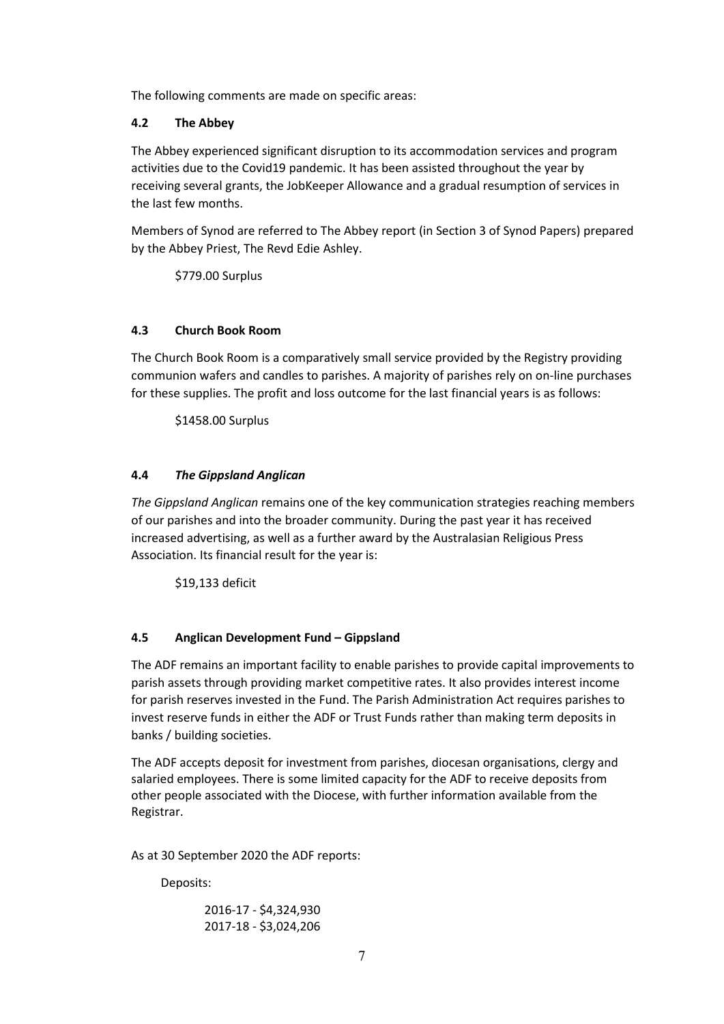The following comments are made on specific areas:

### **4.2 The Abbey**

The Abbey experienced significant disruption to its accommodation services and program activities due to the Covid19 pandemic. It has been assisted throughout the year by receiving several grants, the JobKeeper Allowance and a gradual resumption of services in the last few months.

Members of Synod are referred to The Abbey report (in Section 3 of Synod Papers) prepared by the Abbey Priest, The Revd Edie Ashley.

\$779.00 Surplus

### **4.3 Church Book Room**

The Church Book Room is a comparatively small service provided by the Registry providing communion wafers and candles to parishes. A majority of parishes rely on on-line purchases for these supplies. The profit and loss outcome for the last financial years is as follows:

\$1458.00 Surplus

### **4.4** *The Gippsland Anglican*

*The Gippsland Anglican* remains one of the key communication strategies reaching members of our parishes and into the broader community. During the past year it has received increased advertising, as well as a further award by the Australasian Religious Press Association. Its financial result for the year is:

\$19,133 deficit

### **4.5 Anglican Development Fund – Gippsland**

The ADF remains an important facility to enable parishes to provide capital improvements to parish assets through providing market competitive rates. It also provides interest income for parish reserves invested in the Fund. The Parish Administration Act requires parishes to invest reserve funds in either the ADF or Trust Funds rather than making term deposits in banks / building societies.

The ADF accepts deposit for investment from parishes, diocesan organisations, clergy and salaried employees. There is some limited capacity for the ADF to receive deposits from other people associated with the Diocese, with further information available from the Registrar.

As at 30 September 2020 the ADF reports:

Deposits:

2016-17 - \$4,324,930 2017-18 - \$3,024,206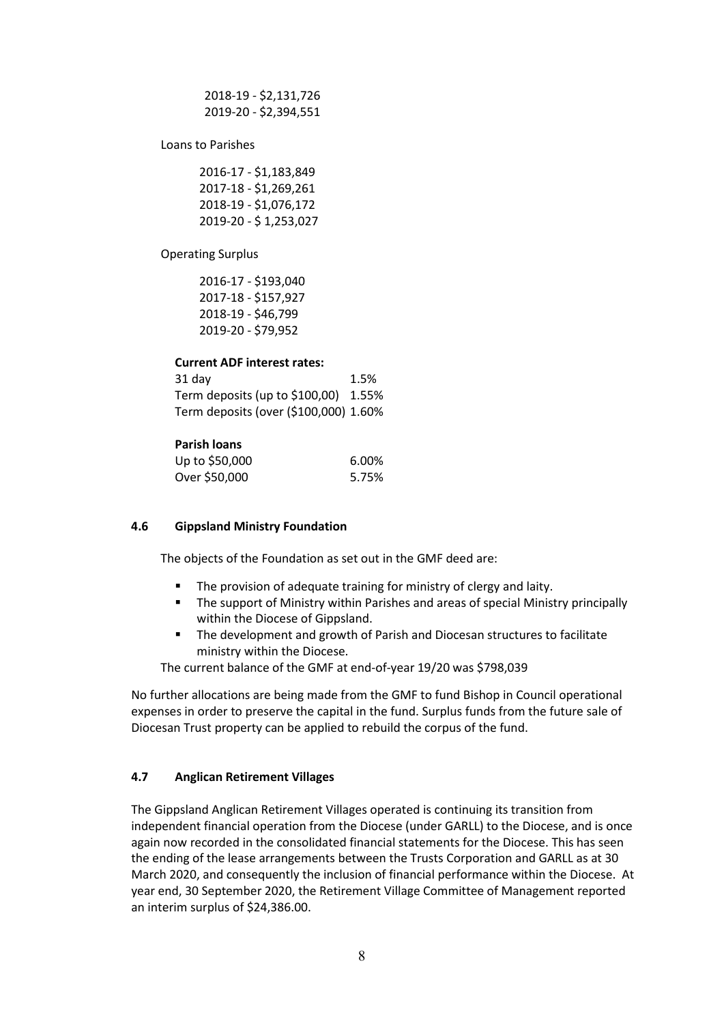2018-19 - \$2,131,726 2019-20 - \$2,394,551

Loans to Parishes

2016-17 - \$1,183,849 2017-18 - \$1,269,261 2018-19 - \$1,076,172 2019-20 - \$ 1,253,027

Operating Surplus

2016-17 - \$193,040 2017-18 - \$157,927 2018-19 - \$46,799 2019-20 - \$79,952

#### **Current ADF interest rates:**

31 day 1.5% Term deposits (up to \$100,00) 1.55% Term deposits (over (\$100,000) 1.60%

#### **Parish loans**

| Up to \$50,000 | 6.00% |
|----------------|-------|
| Over \$50,000  | 5.75% |

#### **4.6 Gippsland Ministry Foundation**

The objects of the Foundation as set out in the GMF deed are:

- The provision of adequate training for ministry of clergy and laity.
- **The support of Ministry within Parishes and areas of special Ministry principally** within the Diocese of Gippsland.
- The development and growth of Parish and Diocesan structures to facilitate ministry within the Diocese.

The current balance of the GMF at end-of-year 19/20 was \$798,039

No further allocations are being made from the GMF to fund Bishop in Council operational expenses in order to preserve the capital in the fund. Surplus funds from the future sale of Diocesan Trust property can be applied to rebuild the corpus of the fund.

### **4.7 Anglican Retirement Villages**

The Gippsland Anglican Retirement Villages operated is continuing its transition from independent financial operation from the Diocese (under GARLL) to the Diocese, and is once again now recorded in the consolidated financial statements for the Diocese. This has seen the ending of the lease arrangements between the Trusts Corporation and GARLL as at 30 March 2020, and consequently the inclusion of financial performance within the Diocese. At year end, 30 September 2020, the Retirement Village Committee of Management reported an interim surplus of \$24,386.00.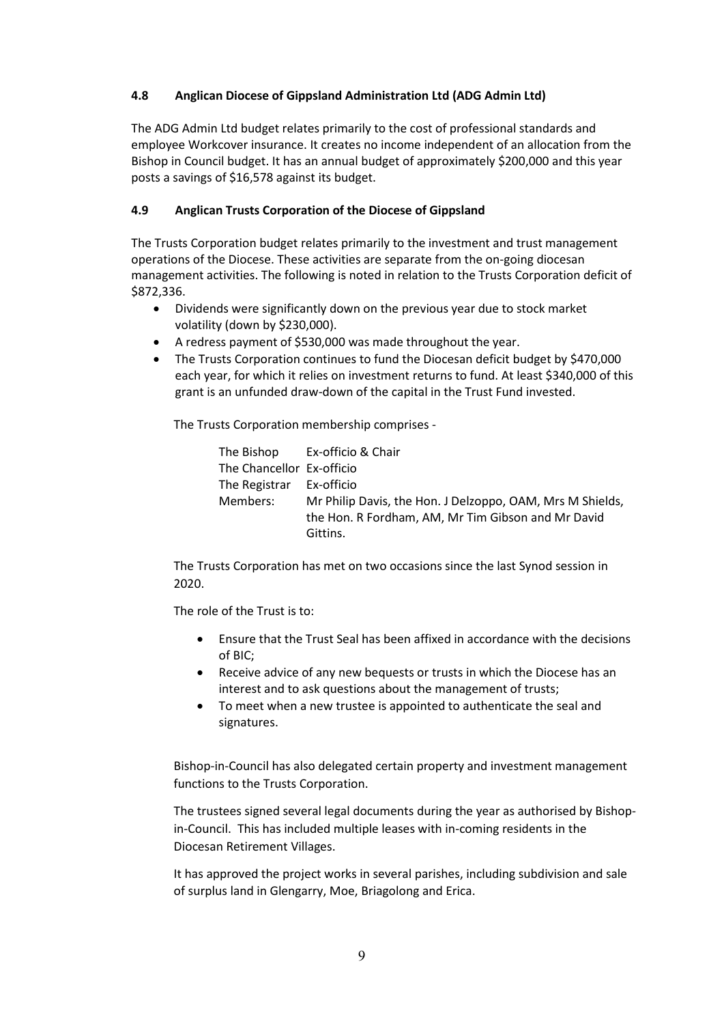### **4.8 Anglican Diocese of Gippsland Administration Ltd (ADG Admin Ltd)**

The ADG Admin Ltd budget relates primarily to the cost of professional standards and employee Workcover insurance. It creates no income independent of an allocation from the Bishop in Council budget. It has an annual budget of approximately \$200,000 and this year posts a savings of \$16,578 against its budget.

### **4.9 Anglican Trusts Corporation of the Diocese of Gippsland**

The Trusts Corporation budget relates primarily to the investment and trust management operations of the Diocese. These activities are separate from the on-going diocesan management activities. The following is noted in relation to the Trusts Corporation deficit of \$872,336.

- Dividends were significantly down on the previous year due to stock market volatility (down by \$230,000).
- A redress payment of \$530,000 was made throughout the year.
- The Trusts Corporation continues to fund the Diocesan deficit budget by \$470,000 each year, for which it relies on investment returns to fund. At least \$340,000 of this grant is an unfunded draw-down of the capital in the Trust Fund invested.

The Trusts Corporation membership comprises -

The Bishop Ex-officio & Chair The Chancellor Ex-officio The Registrar Ex-officio Members: Mr Philip Davis, the Hon. J Delzoppo, OAM, Mrs M Shields, the Hon. R Fordham, AM, Mr Tim Gibson and Mr David Gittins.

The Trusts Corporation has met on two occasions since the last Synod session in 2020.

The role of the Trust is to:

- Ensure that the Trust Seal has been affixed in accordance with the decisions of BIC;
- Receive advice of any new bequests or trusts in which the Diocese has an interest and to ask questions about the management of trusts;
- To meet when a new trustee is appointed to authenticate the seal and signatures.

Bishop-in-Council has also delegated certain property and investment management functions to the Trusts Corporation.

The trustees signed several legal documents during the year as authorised by Bishopin-Council. This has included multiple leases with in-coming residents in the Diocesan Retirement Villages.

It has approved the project works in several parishes, including subdivision and sale of surplus land in Glengarry, Moe, Briagolong and Erica.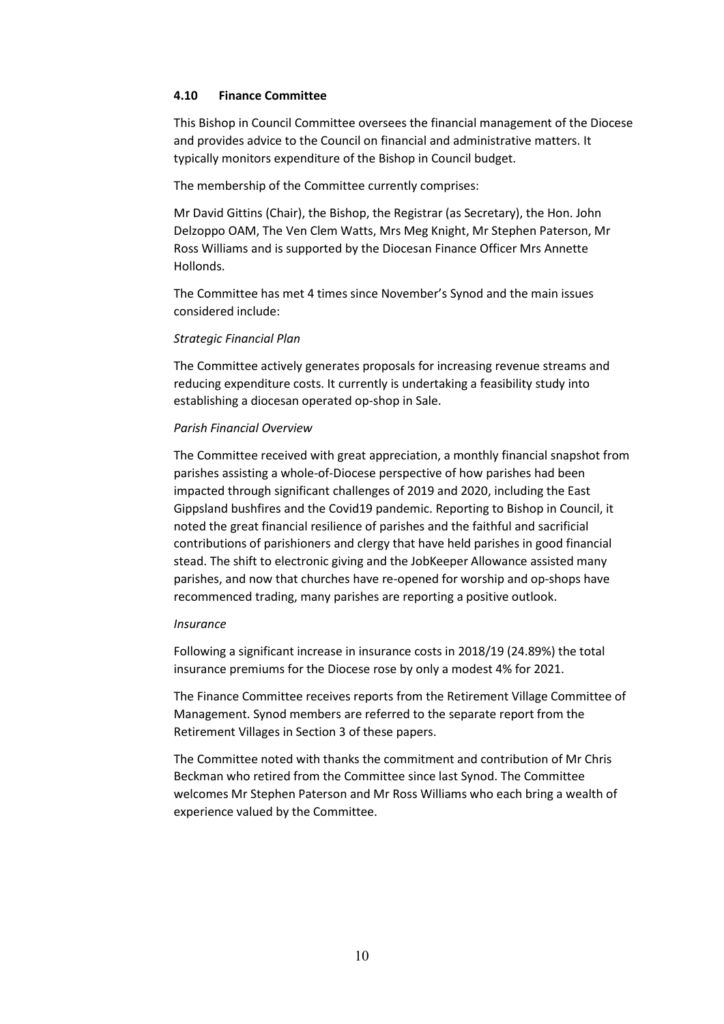#### **4.10 Finance Committee**

This Bishop in Council Committee oversees the financial management of the Diocese and provides advice to the Council on financial and administrative matters. It typically monitors expenditure of the Bishop in Council budget.

The membership of the Committee currently comprises:

Mr David Gittins (Chair), the Bishop, the Registrar (as Secretary), the Hon. John Delzoppo OAM, The Ven Clem Watts, Mrs Meg Knight, Mr Stephen Paterson, Mr Ross Williams and is supported by the Diocesan Finance Officer Mrs Annette Hollonds.

The Committee has met 4 times since November's Synod and the main issues considered include:

#### *Strategic Financial Plan*

The Committee actively generates proposals for increasing revenue streams and reducing expenditure costs. It currently is undertaking a feasibility study into establishing a diocesan operated op-shop in Sale.

#### *Parish Financial Overview*

The Committee received with great appreciation, a monthly financial snapshot from parishes assisting a whole-of-Diocese perspective of how parishes had been impacted through significant challenges of 2019 and 2020, including the East Gippsland bushfires and the Covid19 pandemic. Reporting to Bishop in Council, it noted the great financial resilience of parishes and the faithful and sacrificial contributions of parishioners and clergy that have held parishes in good financial stead. The shift to electronic giving and the JobKeeper Allowance assisted many parishes, and now that churches have re-opened for worship and op-shops have recommenced trading, many parishes are reporting a positive outlook.

#### *Insurance*

Following a significant increase in insurance costs in 2018/19 (24.89%) the total insurance premiums for the Diocese rose by only a modest 4% for 2021.

The Finance Committee receives reports from the Retirement Village Committee of Management. Synod members are referred to the separate report from the Retirement Villages in Section 3 of these papers.

The Committee noted with thanks the commitment and contribution of Mr Chris Beckman who retired from the Committee since last Synod. The Committee welcomes Mr Stephen Paterson and Mr Ross Williams who each bring a wealth of experience valued by the Committee.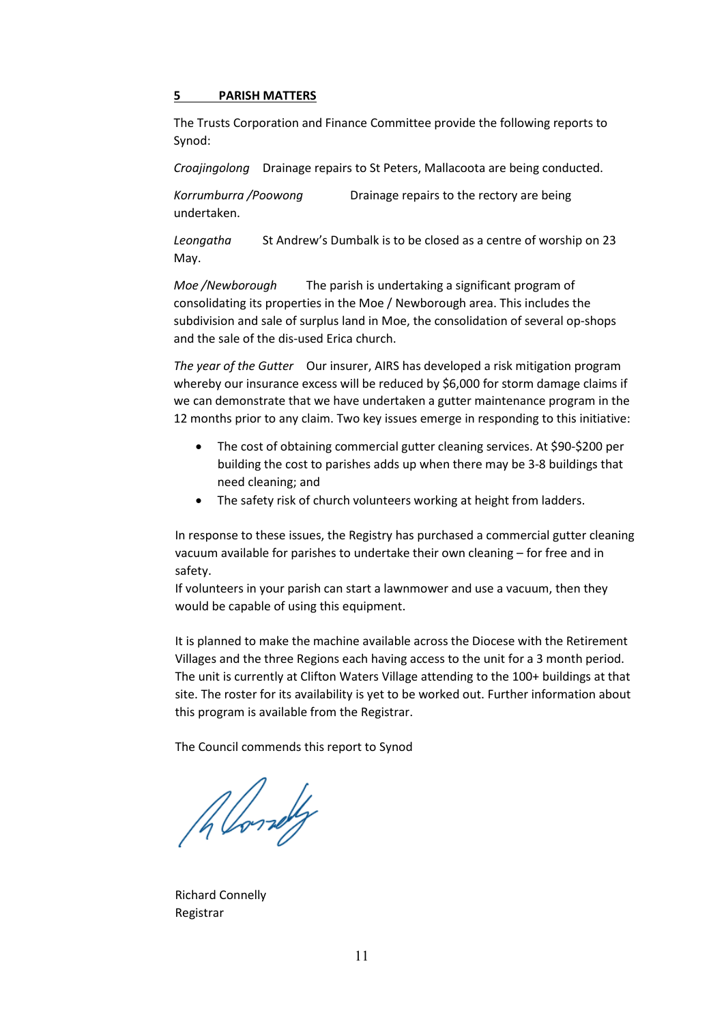#### **5 PARISH MATTERS**

The Trusts Corporation and Finance Committee provide the following reports to Synod:

*Croajingolong* Drainage repairs to St Peters, Mallacoota are being conducted.

*Korrumburra /Poowong* Drainage repairs to the rectory are being undertaken.

*Leongatha* St Andrew's Dumbalk is to be closed as a centre of worship on 23 May.

*Moe /Newborough* The parish is undertaking a significant program of consolidating its properties in the Moe / Newborough area. This includes the subdivision and sale of surplus land in Moe, the consolidation of several op-shops and the sale of the dis-used Erica church.

*The year of the Gutter* Our insurer, AIRS has developed a risk mitigation program whereby our insurance excess will be reduced by \$6,000 for storm damage claims if we can demonstrate that we have undertaken a gutter maintenance program in the 12 months prior to any claim. Two key issues emerge in responding to this initiative:

- The cost of obtaining commercial gutter cleaning services. At \$90-\$200 per building the cost to parishes adds up when there may be 3-8 buildings that need cleaning; and
- The safety risk of church volunteers working at height from ladders.

In response to these issues, the Registry has purchased a commercial gutter cleaning vacuum available for parishes to undertake their own cleaning – for free and in safety.

If volunteers in your parish can start a lawnmower and use a vacuum, then they would be capable of using this equipment.

It is planned to make the machine available across the Diocese with the Retirement Villages and the three Regions each having access to the unit for a 3 month period. The unit is currently at Clifton Waters Village attending to the 100+ buildings at that site. The roster for its availability is yet to be worked out. Further information about this program is available from the Registrar.

The Council commends this report to Synod

Allowely

Richard Connelly Registrar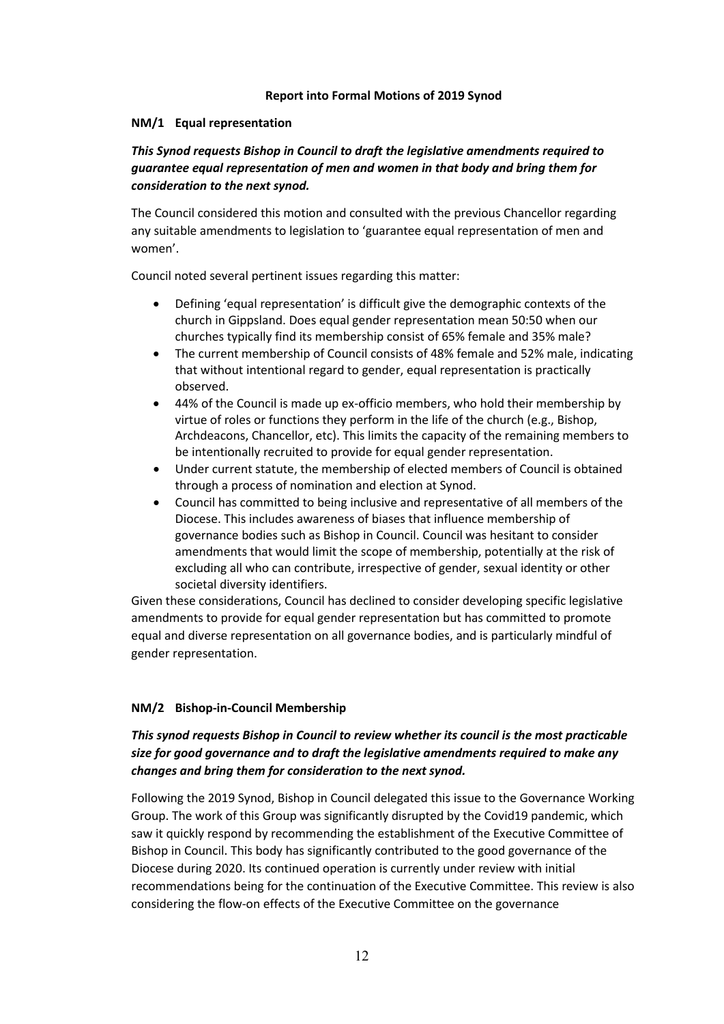### **Report into Formal Motions of 2019 Synod**

### **NM/1 Equal representation**

### *This Synod requests Bishop in Council to draft the legislative amendments required to guarantee equal representation of men and women in that body and bring them for consideration to the next synod.*

The Council considered this motion and consulted with the previous Chancellor regarding any suitable amendments to legislation to 'guarantee equal representation of men and women'.

Council noted several pertinent issues regarding this matter:

- Defining 'equal representation' is difficult give the demographic contexts of the church in Gippsland. Does equal gender representation mean 50:50 when our churches typically find its membership consist of 65% female and 35% male?
- The current membership of Council consists of 48% female and 52% male, indicating that without intentional regard to gender, equal representation is practically observed.
- 44% of the Council is made up ex-officio members, who hold their membership by virtue of roles or functions they perform in the life of the church (e.g., Bishop, Archdeacons, Chancellor, etc). This limits the capacity of the remaining members to be intentionally recruited to provide for equal gender representation.
- Under current statute, the membership of elected members of Council is obtained through a process of nomination and election at Synod.
- Council has committed to being inclusive and representative of all members of the Diocese. This includes awareness of biases that influence membership of governance bodies such as Bishop in Council. Council was hesitant to consider amendments that would limit the scope of membership, potentially at the risk of excluding all who can contribute, irrespective of gender, sexual identity or other societal diversity identifiers.

Given these considerations, Council has declined to consider developing specific legislative amendments to provide for equal gender representation but has committed to promote equal and diverse representation on all governance bodies, and is particularly mindful of gender representation.

### **NM/2 Bishop-in-Council Membership**

### *This synod requests Bishop in Council to review whether its council is the most practicable size for good governance and to draft the legislative amendments required to make any changes and bring them for consideration to the next synod.*

Following the 2019 Synod, Bishop in Council delegated this issue to the Governance Working Group. The work of this Group was significantly disrupted by the Covid19 pandemic, which saw it quickly respond by recommending the establishment of the Executive Committee of Bishop in Council. This body has significantly contributed to the good governance of the Diocese during 2020. Its continued operation is currently under review with initial recommendations being for the continuation of the Executive Committee. This review is also considering the flow-on effects of the Executive Committee on the governance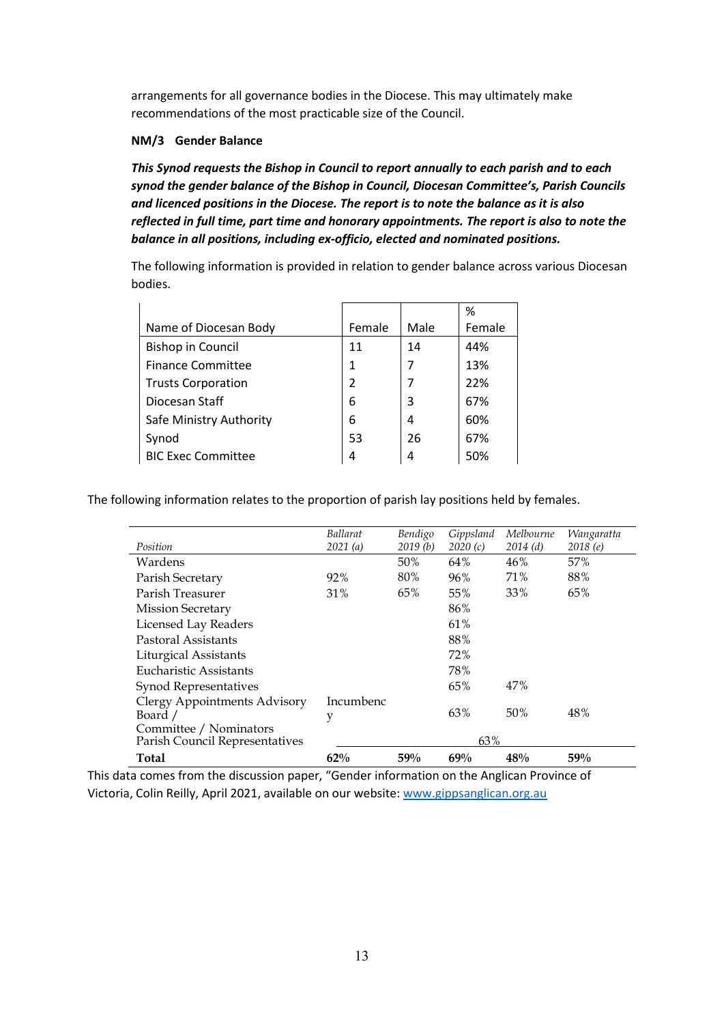arrangements for all governance bodies in the Diocese. This may ultimately make recommendations of the most practicable size of the Council.

### **NM/3 Gender Balance**

*This Synod requests the Bishop in Council to report annually to each parish and to each synod the gender balance of the Bishop in Council, Diocesan Committee's, Parish Councils and licenced positions in the Diocese. The report is to note the balance as it is also reflected in full time, part time and honorary appointments. The report is also to note the balance in all positions, including ex-officio, elected and nominated positions.*

The following information is provided in relation to gender balance across various Diocesan bodies.

|                           |                |      | %      |
|---------------------------|----------------|------|--------|
| Name of Diocesan Body     | Female         | Male | Female |
| <b>Bishop in Council</b>  | 11             | 14   | 44%    |
| <b>Finance Committee</b>  | 1              |      | 13%    |
| <b>Trusts Corporation</b> | $\overline{2}$ |      | 22%    |
| Diocesan Staff            | 6              | 3    | 67%    |
| Safe Ministry Authority   | 6              | 4    | 60%    |
| Synod                     | 53             | 26   | 67%    |
| <b>BIC Exec Committee</b> | 4              | 4    | 50%    |

The following information relates to the proportion of parish lay positions held by females.

| Position                                                 | <b>Ballarat</b><br>2021(a) | Bendigo<br>2019(b) | Gippsland<br>2020(c) | Melbourne<br>2014(d) | Wangaratta<br>2018(e) |
|----------------------------------------------------------|----------------------------|--------------------|----------------------|----------------------|-----------------------|
| Wardens                                                  |                            | 50%                | 64%                  | 46%                  | 57%                   |
| Parish Secretary                                         | 92%                        | 80%                | 96%                  | 71%                  | 88%                   |
| Parish Treasurer                                         | 31%                        | 65%                | 55%                  | 33%                  | 65%                   |
| <b>Mission Secretary</b>                                 |                            |                    | 86%                  |                      |                       |
| Licensed Lay Readers                                     |                            |                    | 61%                  |                      |                       |
| Pastoral Assistants                                      |                            |                    | 88%                  |                      |                       |
| Liturgical Assistants                                    |                            |                    | 72%                  |                      |                       |
| Eucharistic Assistants                                   |                            |                    | 78%                  |                      |                       |
| Synod Representatives                                    |                            |                    | 65%                  | 47%                  |                       |
| Clergy Appointments Advisory<br>Board /                  | Incumbenc<br>y             |                    | 63%                  | 50%                  | 48%                   |
| Committee / Nominators<br>Parish Council Representatives |                            |                    | 63%                  |                      |                       |
| <b>Total</b>                                             | 62%                        | 59%                | 69%                  | 48%                  | 59%                   |

This data comes from the discussion paper, "Gender information on the Anglican Province of Victoria, Colin Reilly, April 2021, available on our website[: www.gippsanglican.org.au](http://www.gippsanglican.org.au/)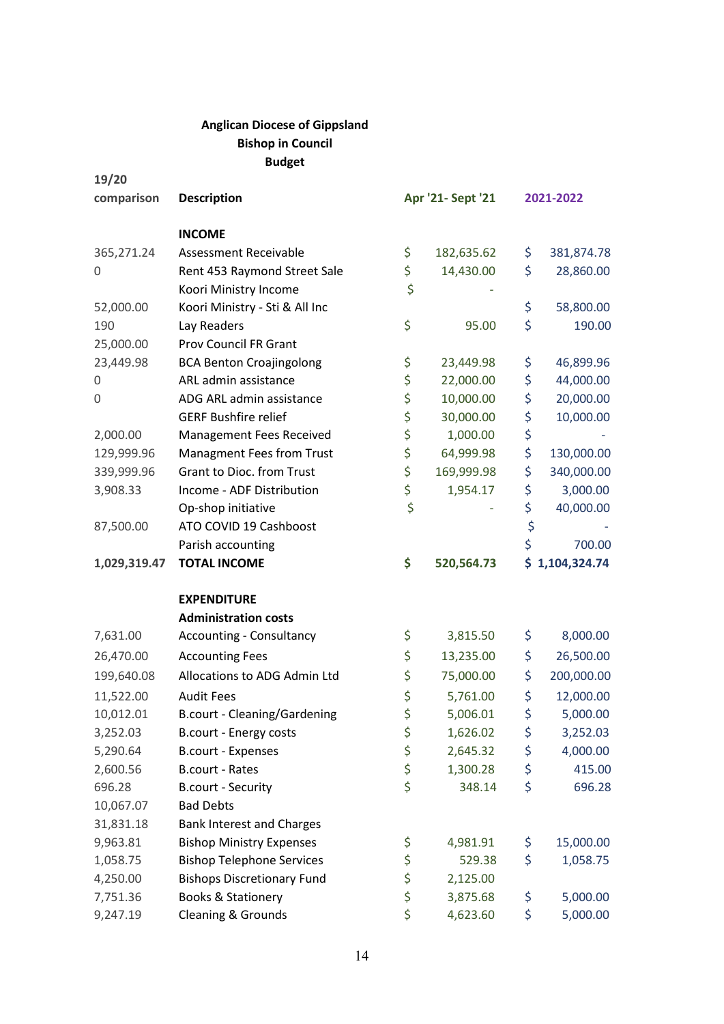### **Anglican Diocese of Gippsland Bishop in Council Budget**

**19/20**

| comparison   | <b>Description</b>                  |        | Apr '21- Sept '21 | 2021-2022        |
|--------------|-------------------------------------|--------|-------------------|------------------|
|              | <b>INCOME</b>                       |        |                   |                  |
| 365,271.24   | Assessment Receivable               | \$     | 182,635.62        | \$<br>381,874.78 |
| 0            | Rent 453 Raymond Street Sale        | \$     | 14,430.00         | \$<br>28,860.00  |
|              | Koori Ministry Income               | \$     |                   |                  |
| 52,000.00    | Koori Ministry - Sti & All Inc      |        |                   | \$<br>58,800.00  |
| 190          | Lay Readers                         | \$     | 95.00             | \$<br>190.00     |
| 25,000.00    | <b>Prov Council FR Grant</b>        |        |                   |                  |
| 23,449.98    | <b>BCA Benton Croajingolong</b>     | \$     | 23,449.98         | \$<br>46,899.96  |
| 0            | ARL admin assistance                | \$     | 22,000.00         | \$<br>44,000.00  |
| 0            | ADG ARL admin assistance            | \$     | 10,000.00         | \$<br>20,000.00  |
|              | <b>GERF Bushfire relief</b>         | \$     | 30,000.00         | \$<br>10,000.00  |
| 2,000.00     | Management Fees Received            | \$     | 1,000.00          | \$               |
| 129,999.96   | <b>Managment Fees from Trust</b>    | \$     | 64,999.98         | \$<br>130,000.00 |
| 339,999.96   | <b>Grant to Dioc. from Trust</b>    | \$     | 169,999.98        | \$<br>340,000.00 |
| 3,908.33     | Income - ADF Distribution           | \$     | 1,954.17          | \$<br>3,000.00   |
|              | Op-shop initiative                  | \$     |                   | \$<br>40,000.00  |
| 87,500.00    | ATO COVID 19 Cashboost              |        |                   | \$               |
|              | Parish accounting                   |        |                   | \$<br>700.00     |
| 1,029,319.47 | <b>TOTAL INCOME</b>                 | \$     | 520,564.73        | \$1,104,324.74   |
|              | <b>EXPENDITURE</b>                  |        |                   |                  |
|              | <b>Administration costs</b>         |        |                   |                  |
| 7,631.00     | <b>Accounting - Consultancy</b>     | \$     | 3,815.50          | \$<br>8,000.00   |
| 26,470.00    | <b>Accounting Fees</b>              | \$     | 13,235.00         | \$<br>26,500.00  |
| 199,640.08   | Allocations to ADG Admin Ltd        | \$     | 75,000.00         | \$<br>200,000.00 |
| 11,522.00    | <b>Audit Fees</b>                   | \$     | 5,761.00          | \$<br>12,000.00  |
| 10,012.01    | <b>B.court - Cleaning/Gardening</b> | \$     | 5,006.01          | \$<br>5,000.00   |
| 3,252.03     | B.court - Energy costs              | ᅩ<br>Ş | 1,626.02          | \$<br>3,252.03   |
| 5,290.64     | <b>B.court - Expenses</b>           | \$     | 2,645.32          | \$<br>4,000.00   |
| 2,600.56     | <b>B.court - Rates</b>              | \$     | 1,300.28          | \$<br>415.00     |
| 696.28       | <b>B.court - Security</b>           | \$     | 348.14            | \$<br>696.28     |
| 10,067.07    | <b>Bad Debts</b>                    |        |                   |                  |
| 31,831.18    | <b>Bank Interest and Charges</b>    |        |                   |                  |
| 9,963.81     | <b>Bishop Ministry Expenses</b>     | \$     | 4,981.91          | \$<br>15,000.00  |
| 1,058.75     | <b>Bishop Telephone Services</b>    | \$     | 529.38            | \$<br>1,058.75   |
| 4,250.00     | <b>Bishops Discretionary Fund</b>   | \$     | 2,125.00          |                  |
| 7,751.36     |                                     |        |                   |                  |
|              | <b>Books &amp; Stationery</b>       | \$     | 3,875.68          | \$<br>5,000.00   |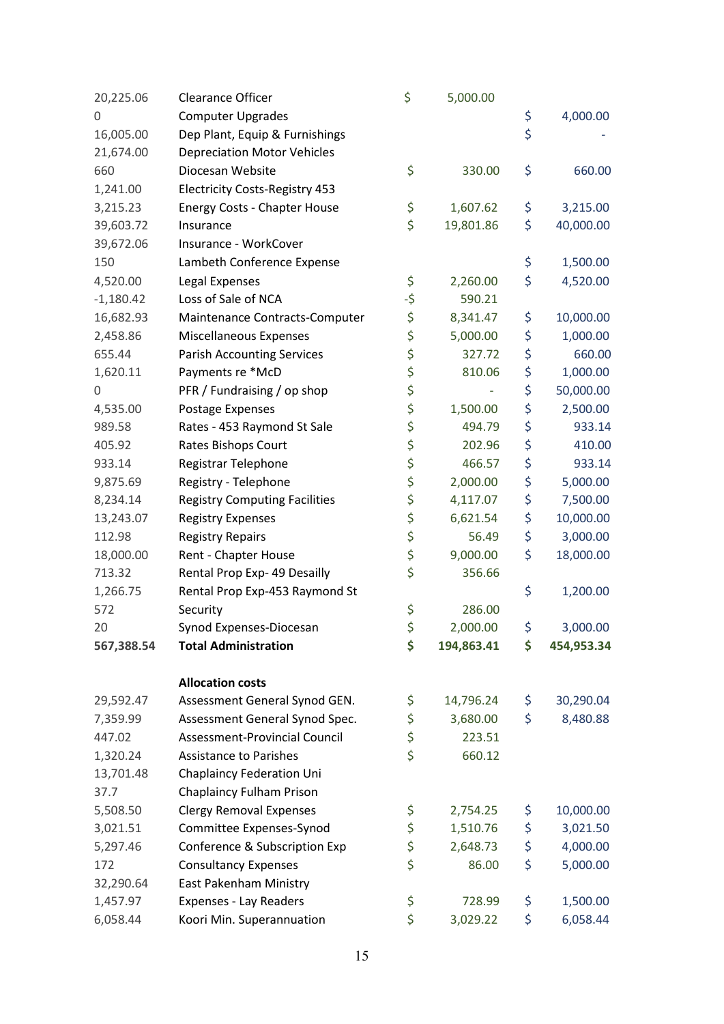| 20,225.06   | <b>Clearance Officer</b>              | \$  | 5,000.00   |                  |
|-------------|---------------------------------------|-----|------------|------------------|
| 0           | <b>Computer Upgrades</b>              |     |            | \$<br>4,000.00   |
| 16,005.00   | Dep Plant, Equip & Furnishings        |     |            | \$               |
| 21,674.00   | <b>Depreciation Motor Vehicles</b>    |     |            |                  |
| 660         | Diocesan Website                      | \$  | 330.00     | \$<br>660.00     |
| 1,241.00    | <b>Electricity Costs-Registry 453</b> |     |            |                  |
| 3,215.23    | Energy Costs - Chapter House          | \$  | 1,607.62   | \$<br>3,215.00   |
| 39,603.72   | Insurance                             | \$  | 19,801.86  | \$<br>40,000.00  |
| 39,672.06   | Insurance - WorkCover                 |     |            |                  |
| 150         | Lambeth Conference Expense            |     |            | \$<br>1,500.00   |
| 4,520.00    | Legal Expenses                        | \$  | 2,260.00   | \$<br>4,520.00   |
| $-1,180.42$ | Loss of Sale of NCA                   | -\$ | 590.21     |                  |
| 16,682.93   | Maintenance Contracts-Computer        | \$  | 8,341.47   | \$<br>10,000.00  |
| 2,458.86    | Miscellaneous Expenses                | \$  | 5,000.00   | \$<br>1,000.00   |
| 655.44      | <b>Parish Accounting Services</b>     | \$  | 327.72     | \$<br>660.00     |
| 1,620.11    | Payments re *McD                      | \$  | 810.06     | \$<br>1,000.00   |
| 0           | PFR / Fundraising / op shop           | \$  |            | \$<br>50,000.00  |
| 4,535.00    | Postage Expenses                      | \$  | 1,500.00   | \$<br>2,500.00   |
| 989.58      | Rates - 453 Raymond St Sale           | \$  | 494.79     | \$<br>933.14     |
| 405.92      | Rates Bishops Court                   | \$  | 202.96     | \$<br>410.00     |
| 933.14      | Registrar Telephone                   | \$  | 466.57     | \$<br>933.14     |
| 9,875.69    | Registry - Telephone                  | \$  | 2,000.00   | \$<br>5,000.00   |
| 8,234.14    | <b>Registry Computing Facilities</b>  | \$  | 4,117.07   | \$<br>7,500.00   |
| 13,243.07   | <b>Registry Expenses</b>              | \$  | 6,621.54   | \$<br>10,000.00  |
| 112.98      | <b>Registry Repairs</b>               | \$  | 56.49      | \$<br>3,000.00   |
| 18,000.00   | Rent - Chapter House                  | \$  | 9,000.00   | \$<br>18,000.00  |
| 713.32      | Rental Prop Exp- 49 Desailly          | \$  | 356.66     |                  |
| 1,266.75    | Rental Prop Exp-453 Raymond St        |     |            | \$<br>1,200.00   |
| 572         | Security                              | \$  | 286.00     |                  |
| 20          | Synod Expenses-Diocesan               | \$  | 2,000.00   | \$<br>3,000.00   |
| 567,388.54  | <b>Total Administration</b>           | \$  | 194,863.41 | \$<br>454,953.34 |
|             | <b>Allocation costs</b>               |     |            |                  |
| 29,592.47   | Assessment General Synod GEN.         | \$  | 14,796.24  | \$<br>30,290.04  |
| 7,359.99    | Assessment General Synod Spec.        | \$  | 3,680.00   | \$<br>8,480.88   |
| 447.02      | Assessment-Provincial Council         | \$  | 223.51     |                  |
| 1,320.24    | <b>Assistance to Parishes</b>         | \$  | 660.12     |                  |
| 13,701.48   | <b>Chaplaincy Federation Uni</b>      |     |            |                  |
| 37.7        | Chaplaincy Fulham Prison              |     |            |                  |
| 5,508.50    | <b>Clergy Removal Expenses</b>        | \$  | 2,754.25   | \$<br>10,000.00  |
| 3,021.51    | Committee Expenses-Synod              | \$  | 1,510.76   | \$<br>3,021.50   |
| 5,297.46    | Conference & Subscription Exp         | \$  | 2,648.73   | \$<br>4,000.00   |
| 172         | <b>Consultancy Expenses</b>           | \$  | 86.00      | \$<br>5,000.00   |
| 32,290.64   | East Pakenham Ministry                |     |            |                  |
| 1,457.97    | <b>Expenses - Lay Readers</b>         | \$  | 728.99     | \$<br>1,500.00   |
| 6,058.44    | Koori Min. Superannuation             | \$  | 3,029.22   | \$<br>6,058.44   |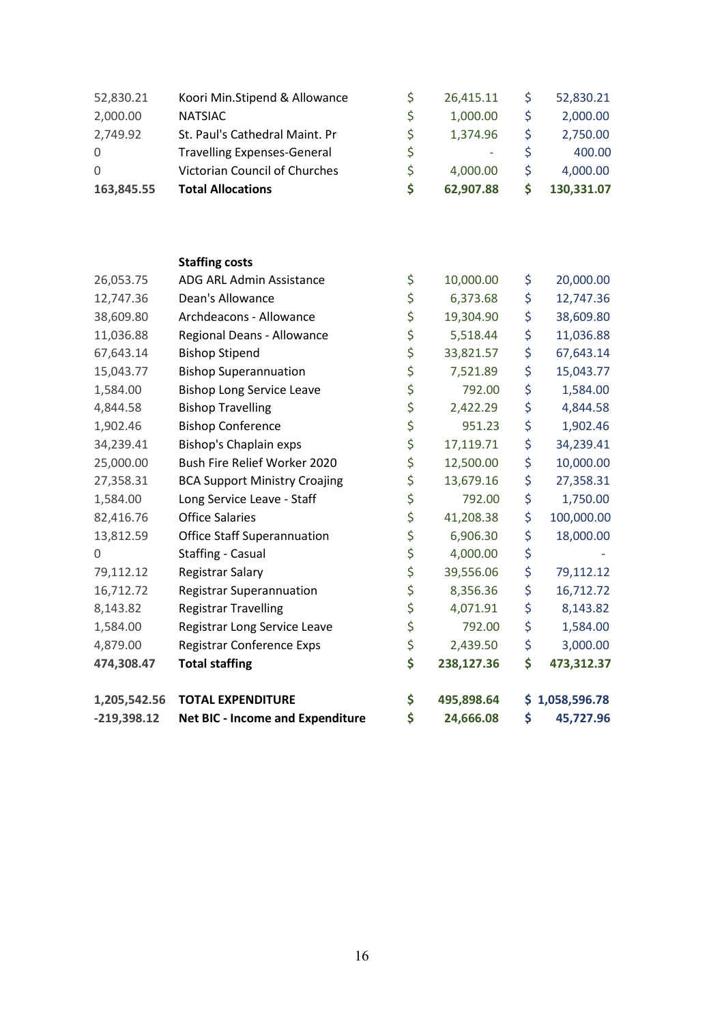| 52,830.21     | Koori Min.Stipend & Allowance           | \$<br>26,415.11  | \$<br>52,830.21  |
|---------------|-----------------------------------------|------------------|------------------|
| 2,000.00      | <b>NATSIAC</b>                          | \$<br>1,000.00   | \$<br>2,000.00   |
| 2,749.92      | St. Paul's Cathedral Maint. Pr          | \$<br>1,374.96   | \$<br>2,750.00   |
| 0             | <b>Travelling Expenses-General</b>      | \$               | \$<br>400.00     |
| 0             | Victorian Council of Churches           | \$<br>4,000.00   | \$<br>4,000.00   |
| 163,845.55    | <b>Total Allocations</b>                | \$<br>62,907.88  | \$<br>130,331.07 |
|               |                                         |                  |                  |
|               | <b>Staffing costs</b>                   |                  |                  |
| 26,053.75     | ADG ARL Admin Assistance                | \$<br>10,000.00  | \$<br>20,000.00  |
| 12,747.36     | Dean's Allowance                        | \$<br>6,373.68   | \$<br>12,747.36  |
| 38,609.80     | Archdeacons - Allowance                 | \$<br>19,304.90  | \$<br>38,609.80  |
| 11,036.88     | Regional Deans - Allowance              | \$<br>5,518.44   | \$<br>11,036.88  |
| 67,643.14     | <b>Bishop Stipend</b>                   | \$<br>33,821.57  | \$<br>67,643.14  |
| 15,043.77     | <b>Bishop Superannuation</b>            | \$<br>7,521.89   | \$<br>15,043.77  |
| 1,584.00      | <b>Bishop Long Service Leave</b>        | \$<br>792.00     | \$<br>1,584.00   |
| 4,844.58      | <b>Bishop Travelling</b>                | \$<br>2,422.29   | \$<br>4,844.58   |
| 1,902.46      | <b>Bishop Conference</b>                | \$<br>951.23     | \$<br>1,902.46   |
| 34,239.41     | <b>Bishop's Chaplain exps</b>           | \$<br>17,119.71  | \$<br>34,239.41  |
| 25,000.00     | Bush Fire Relief Worker 2020            | \$<br>12,500.00  | \$<br>10,000.00  |
| 27,358.31     | <b>BCA Support Ministry Croajing</b>    | \$<br>13,679.16  | \$<br>27,358.31  |
| 1,584.00      | Long Service Leave - Staff              | \$<br>792.00     | \$<br>1,750.00   |
| 82,416.76     | <b>Office Salaries</b>                  | \$<br>41,208.38  | \$<br>100,000.00 |
| 13,812.59     | <b>Office Staff Superannuation</b>      | \$<br>6,906.30   | \$<br>18,000.00  |
| 0             | <b>Staffing - Casual</b>                | \$<br>4,000.00   | \$               |
| 79,112.12     | Registrar Salary                        | \$<br>39,556.06  | \$<br>79,112.12  |
| 16,712.72     | <b>Registrar Superannuation</b>         | \$<br>8,356.36   | \$<br>16,712.72  |
| 8,143.82      | <b>Registrar Travelling</b>             | \$<br>4,071.91   | \$<br>8,143.82   |
| 1,584.00      | Registrar Long Service Leave            | \$<br>792.00     | \$<br>1,584.00   |
| 4,879.00      | Registrar Conference Exps               | \$<br>2,439.50   | \$<br>3,000.00   |
| 474,308.47    | <b>Total staffing</b>                   | \$<br>238,127.36 | \$<br>473,312.37 |
| 1,205,542.56  | <b>TOTAL EXPENDITURE</b>                | \$<br>495,898.64 | \$1,058,596.78   |
| $-219,398.12$ | <b>Net BIC - Income and Expenditure</b> | \$<br>24,666.08  | \$<br>45,727.96  |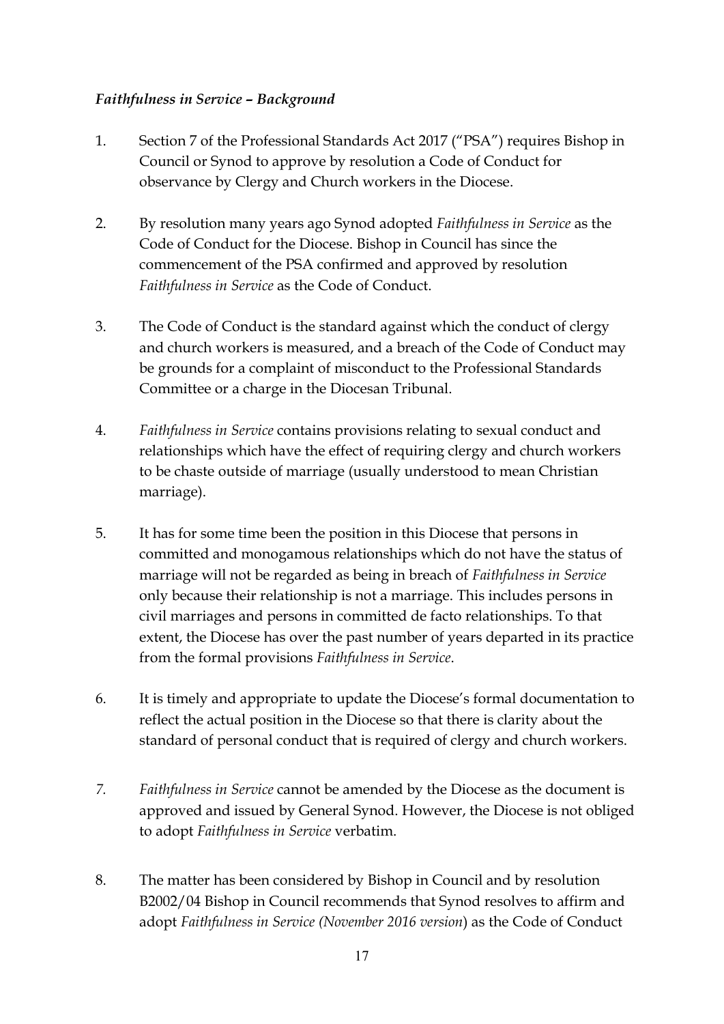### *Faithfulness in Service – Background*

- 1. Section 7 of the Professional Standards Act 2017 ("PSA") requires Bishop in Council or Synod to approve by resolution a Code of Conduct for observance by Clergy and Church workers in the Diocese.
- 2. By resolution many years ago Synod adopted *Faithfulness in Service* as the Code of Conduct for the Diocese. Bishop in Council has since the commencement of the PSA confirmed and approved by resolution *Faithfulness in Service* as the Code of Conduct.
- 3. The Code of Conduct is the standard against which the conduct of clergy and church workers is measured, and a breach of the Code of Conduct may be grounds for a complaint of misconduct to the Professional Standards Committee or a charge in the Diocesan Tribunal.
- 4. *Faithfulness in Service* contains provisions relating to sexual conduct and relationships which have the effect of requiring clergy and church workers to be chaste outside of marriage (usually understood to mean Christian marriage).
- 5. It has for some time been the position in this Diocese that persons in committed and monogamous relationships which do not have the status of marriage will not be regarded as being in breach of *Faithfulness in Service* only because their relationship is not a marriage. This includes persons in civil marriages and persons in committed de facto relationships. To that extent, the Diocese has over the past number of years departed in its practice from the formal provisions *Faithfulness in Service*.
- 6. It is timely and appropriate to update the Diocese's formal documentation to reflect the actual position in the Diocese so that there is clarity about the standard of personal conduct that is required of clergy and church workers.
- *7. Faithfulness in Service* cannot be amended by the Diocese as the document is approved and issued by General Synod. However, the Diocese is not obliged to adopt *Faithfulness in Service* verbatim.
- 8. The matter has been considered by Bishop in Council and by resolution B2002/04 Bishop in Council recommends that Synod resolves to affirm and adopt *Faithfulness in Service (November 2016 version*) as the Code of Conduct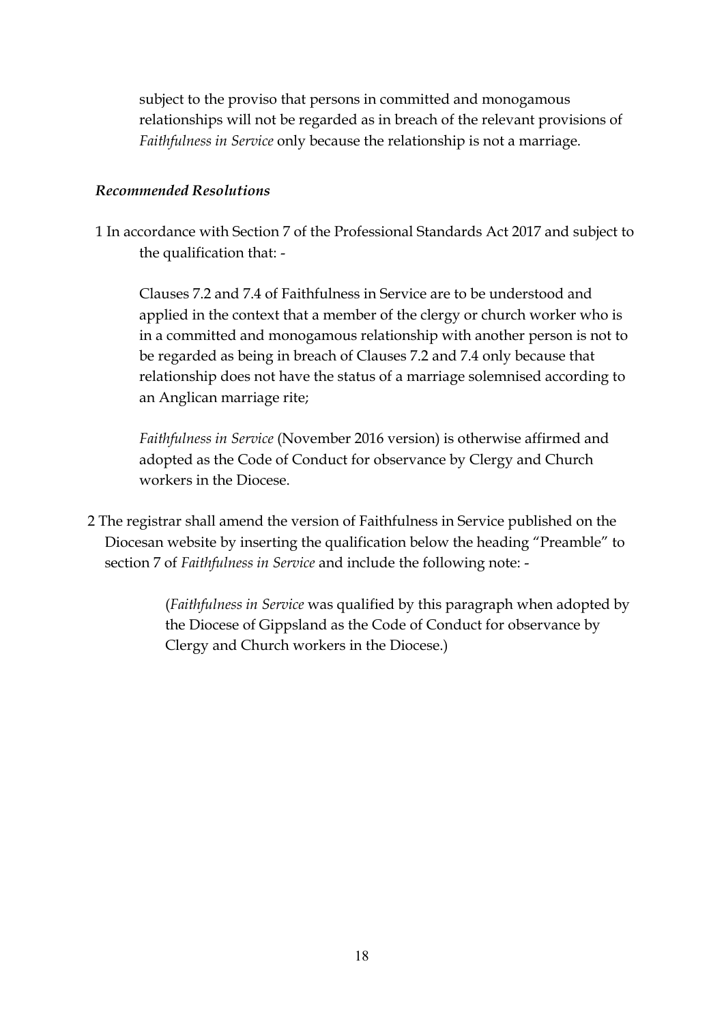subject to the proviso that persons in committed and monogamous relationships will not be regarded as in breach of the relevant provisions of *Faithfulness in Service* only because the relationship is not a marriage.

### *Recommended Resolutions*

1 In accordance with Section 7 of the Professional Standards Act 2017 and subject to the qualification that: -

 Clauses 7.2 and 7.4 of Faithfulness in Service are to be understood and applied in the context that a member of the clergy or church worker who is in a committed and monogamous relationship with another person is not to be regarded as being in breach of Clauses 7.2 and 7.4 only because that relationship does not have the status of a marriage solemnised according to an Anglican marriage rite;

*Faithfulness in Service* (November 2016 version) is otherwise affirmed and adopted as the Code of Conduct for observance by Clergy and Church workers in the Diocese.

2 The registrar shall amend the version of Faithfulness in Service published on the Diocesan website by inserting the qualification below the heading "Preamble" to section 7 of *Faithfulness in Service* and include the following note: -

> (*Faithfulness in Service* was qualified by this paragraph when adopted by the Diocese of Gippsland as the Code of Conduct for observance by Clergy and Church workers in the Diocese.)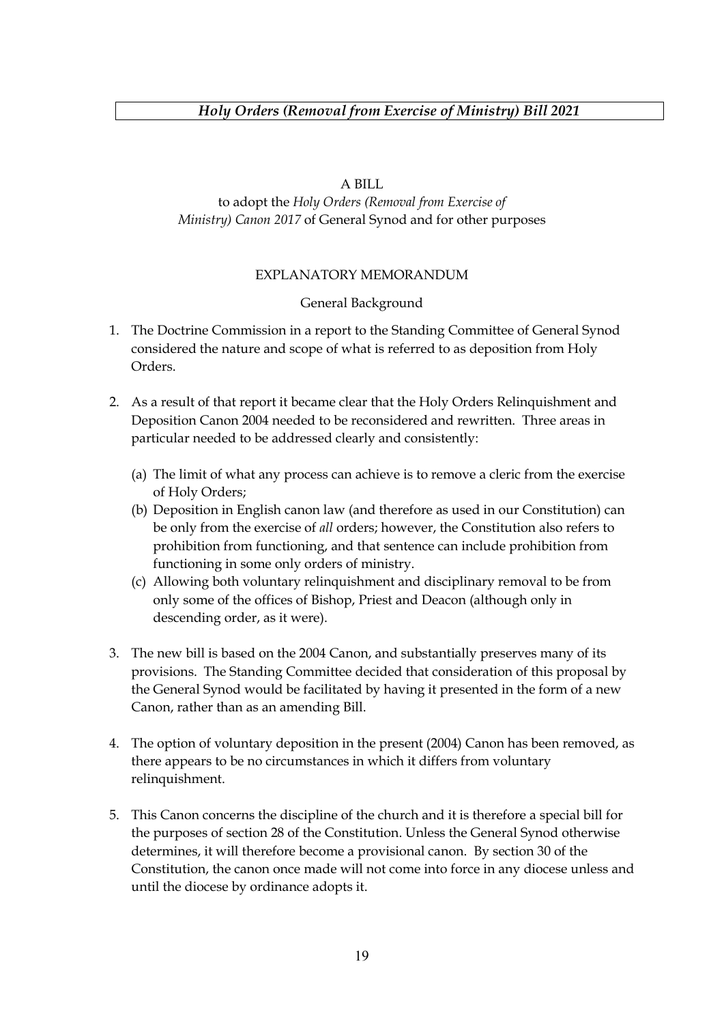### A BILL

### to adopt the *Holy Orders (Removal from Exercise of Ministry) Canon 2017* of General Synod and for other purposes

### EXPLANATORY MEMORANDUM

### General Background

- 1. The Doctrine Commission in a report to the Standing Committee of General Synod considered the nature and scope of what is referred to as deposition from Holy Orders.
- 2. As a result of that report it became clear that the Holy Orders Relinquishment and Deposition Canon 2004 needed to be reconsidered and rewritten. Three areas in particular needed to be addressed clearly and consistently:
	- (a) The limit of what any process can achieve is to remove a cleric from the exercise of Holy Orders;
	- (b) Deposition in English canon law (and therefore as used in our Constitution) can be only from the exercise of *all* orders; however, the Constitution also refers to prohibition from functioning, and that sentence can include prohibition from functioning in some only orders of ministry.
	- (c) Allowing both voluntary relinquishment and disciplinary removal to be from only some of the offices of Bishop, Priest and Deacon (although only in descending order, as it were).
- 3. The new bill is based on the 2004 Canon, and substantially preserves many of its provisions. The Standing Committee decided that consideration of this proposal by the General Synod would be facilitated by having it presented in the form of a new Canon, rather than as an amending Bill.
- 4. The option of voluntary deposition in the present (2004) Canon has been removed, as there appears to be no circumstances in which it differs from voluntary relinquishment.
- 5. This Canon concerns the discipline of the church and it is therefore a special bill for the purposes of section 28 of the Constitution. Unless the General Synod otherwise determines, it will therefore become a provisional canon. By section 30 of the Constitution, the canon once made will not come into force in any diocese unless and until the diocese by ordinance adopts it.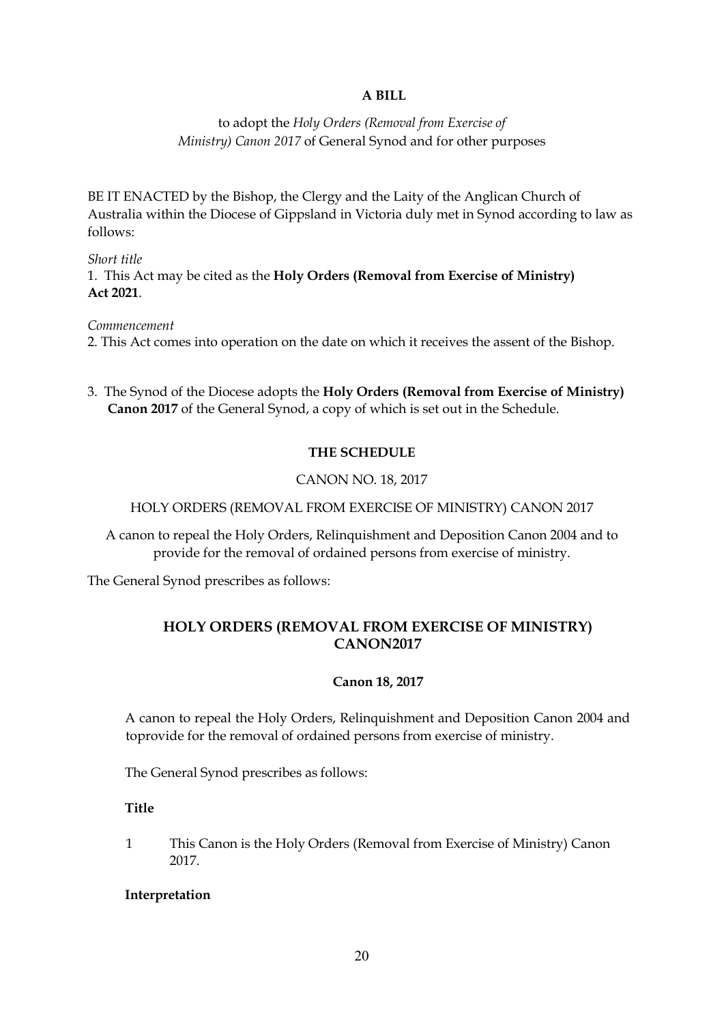### **A BILL**

to adopt the *Holy Orders (Removal from Exercise of Ministry) Canon 2017* of General Synod and for other purposes

BE IT ENACTED by the Bishop, the Clergy and the Laity of the Anglican Church of Australia within the Diocese of Gippsland in Victoria duly met in Synod according to law as follows:

*Short title* 1. This Act may be cited as the **Holy Orders (Removal from Exercise of Ministry) Act 2021**.

*Commencement*

2. This Act comes into operation on the date on which it receives the assent of the Bishop.

3. The Synod of the Diocese adopts the **Holy Orders (Removal from Exercise of Ministry) Canon 2017** of the General Synod, a copy of which is set out in the Schedule.

### **THE SCHEDULE**

### CANON NO. 18, 2017

HOLY ORDERS (REMOVAL FROM EXERCISE OF MINISTRY) CANON 2017

A canon to repeal the Holy Orders, Relinquishment and Deposition Canon 2004 and to provide for the removal of ordained persons from exercise of ministry.

The General Synod prescribes as follows:

### **HOLY ORDERS (REMOVAL FROM EXERCISE OF MINISTRY) CANON2017**

### **Canon 18, 2017**

A canon to repeal the Holy Orders, Relinquishment and Deposition Canon 2004 and toprovide for the removal of ordained persons from exercise of ministry.

The General Synod prescribes as follows:

**Title**

1 This Canon is the Holy Orders (Removal from Exercise of Ministry) Canon 2017.

### **Interpretation**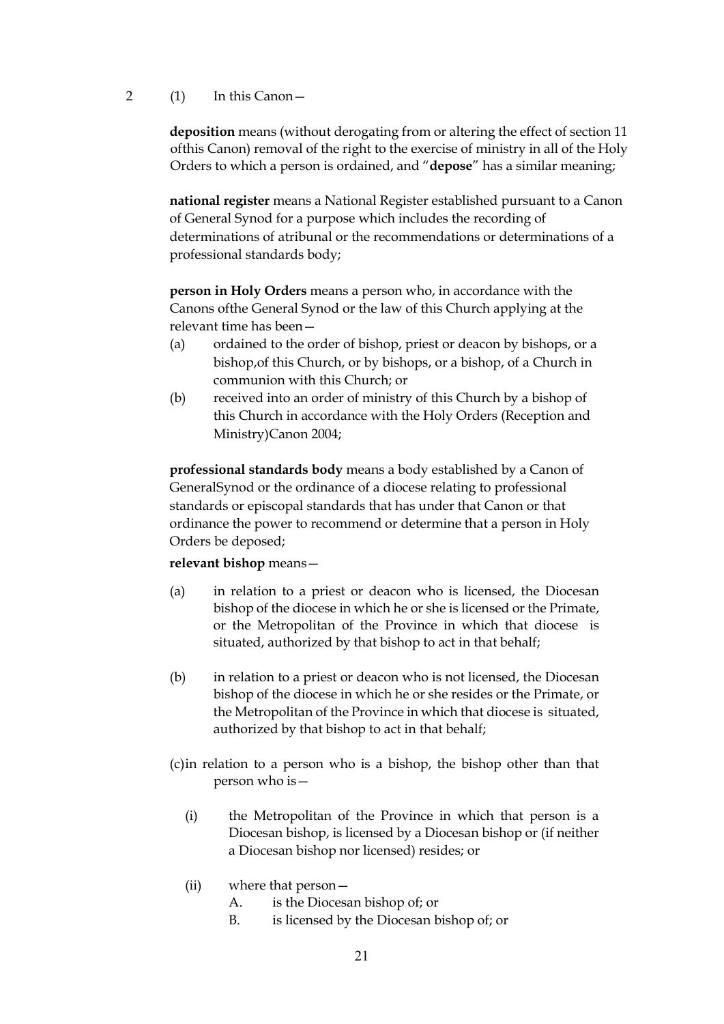### 2 (1) In this Canon—

**deposition** means (without derogating from or altering the effect of section 11 ofthis Canon) removal of the right to the exercise of ministry in all of the Holy Orders to which a person is ordained, and "**depose**" has a similar meaning;

**national register** means a National Register established pursuant to a Canon of General Synod for a purpose which includes the recording of determinations of atribunal or the recommendations or determinations of a professional standards body;

**person in Holy Orders** means a person who, in accordance with the Canons ofthe General Synod or the law of this Church applying at the relevant time has been—

- (a) ordained to the order of bishop, priest or deacon by bishops, or a bishop,of this Church, or by bishops, or a bishop, of a Church in communion with this Church; or
- (b) received into an order of ministry of this Church by a bishop of this Church in accordance with the Holy Orders (Reception and Ministry)Canon 2004;

**professional standards body** means a body established by a Canon of GeneralSynod or the ordinance of a diocese relating to professional standards or episcopal standards that has under that Canon or that ordinance the power to recommend or determine that a person in Holy Orders be deposed;

### **relevant bishop** means—

- (a) in relation to a priest or deacon who is licensed, the Diocesan bishop of the diocese in which he or she is licensed or the Primate, or the Metropolitan of the Province in which that diocese is situated, authorized by that bishop to act in that behalf;
- (b) in relation to a priest or deacon who is not licensed, the Diocesan bishop of the diocese in which he or she resides or the Primate, or the Metropolitan of the Province in which that diocese is situated, authorized by that bishop to act in that behalf;
- (c)in relation to a person who is a bishop, the bishop other than that person who is—
	- (i) the Metropolitan of the Province in which that person is a Diocesan bishop, is licensed by a Diocesan bishop or (if neither a Diocesan bishop nor licensed) resides; or
	- (ii) where that person—
		- A. is the Diocesan bishop of; or
		- B. is licensed by the Diocesan bishop of; or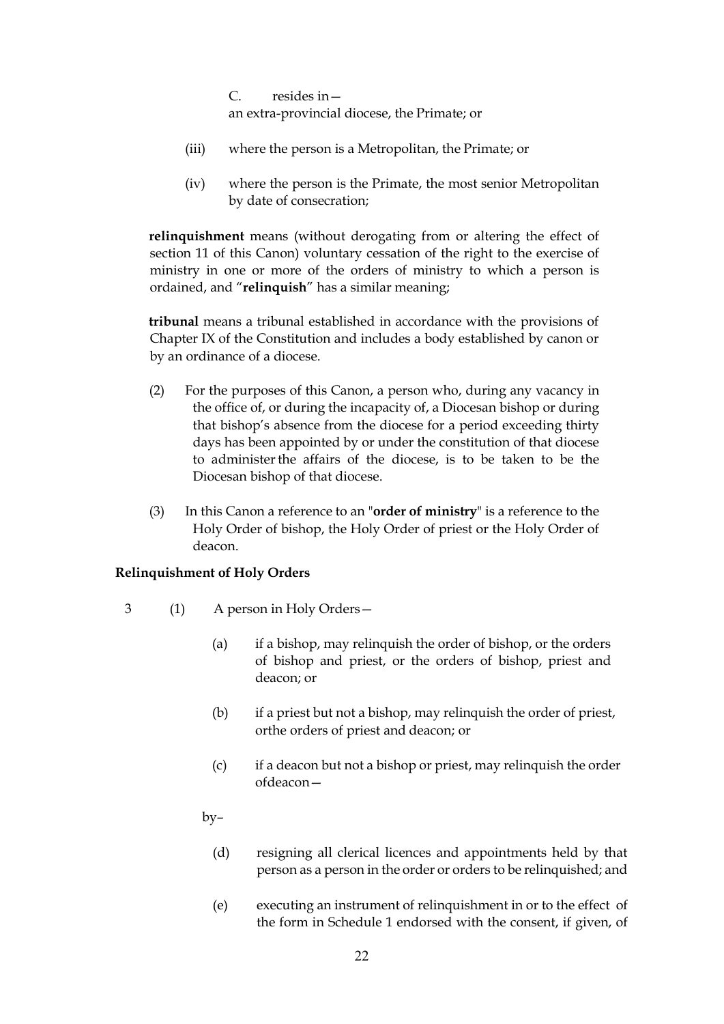C. resides in an extra-provincial diocese, the Primate; or

- (iii) where the person is a Metropolitan, the Primate; or
- (iv) where the person is the Primate, the most senior Metropolitan by date of consecration;

**relinquishment** means (without derogating from or altering the effect of section 11 of this Canon) voluntary cessation of the right to the exercise of ministry in one or more of the orders of ministry to which a person is ordained, and "**relinquish**" has a similar meaning;

**tribunal** means a tribunal established in accordance with the provisions of Chapter IX of the Constitution and includes a body established by canon or by an ordinance of a diocese.

- (2) For the purposes of this Canon, a person who, during any vacancy in the office of, or during the incapacity of, a Diocesan bishop or during that bishop's absence from the diocese for a period exceeding thirty days has been appointed by or under the constitution of that diocese to administerthe affairs of the diocese, is to be taken to be the Diocesan bishop of that diocese.
- (3) In this Canon a reference to an "**order of ministry**" is a reference to the Holy Order of bishop, the Holy Order of priest or the Holy Order of deacon.

### **Relinquishment of Holy Orders**

- 3 (1) A person in Holy Orders—
	- (a) if a bishop, may relinquish the order of bishop, or the orders of bishop and priest, or the orders of bishop, priest and deacon; or
	- (b) if a priest but not a bishop, may relinquish the order of priest, orthe orders of priest and deacon; or
	- (c) if a deacon but not a bishop or priest, may relinquish the order ofdeacon—

by–

- (d) resigning all clerical licences and appointments held by that person as a person in the order or orders to be relinquished; and
- (e) executing an instrument of relinquishment in or to the effect of the form in Schedule 1 endorsed with the consent, if given, of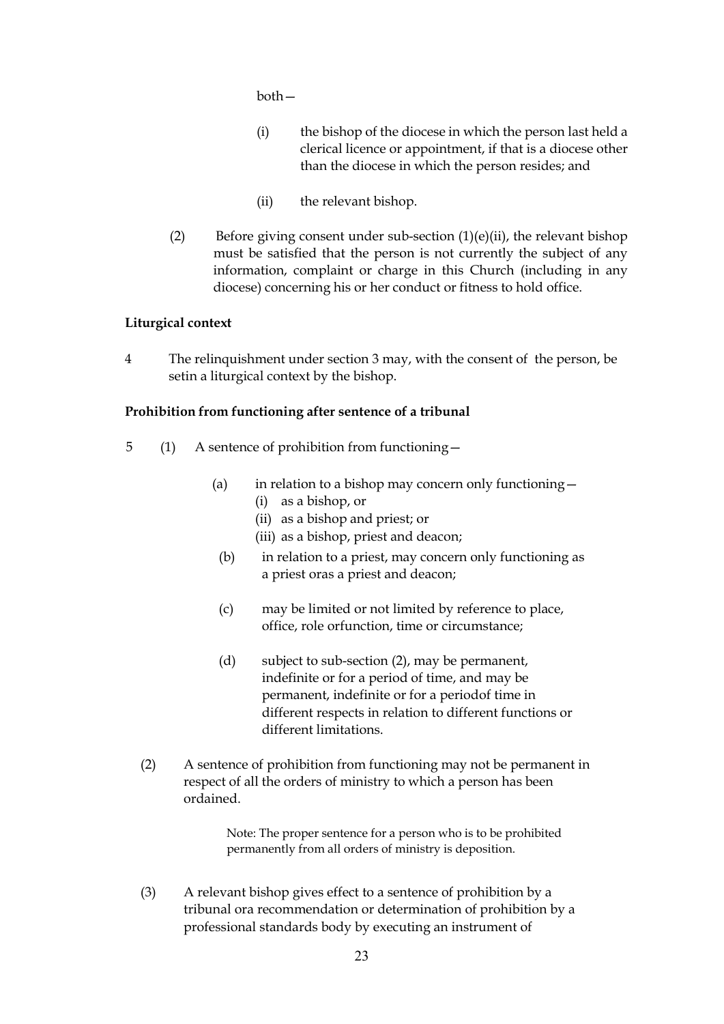both—

- (i) the bishop of the diocese in which the person last held a clerical licence or appointment, if that is a diocese other than the diocese in which the person resides; and
- (ii) the relevant bishop.
- (2) Before giving consent under sub-section  $(1)(e)(ii)$ , the relevant bishop must be satisfied that the person is not currently the subject of any information, complaint or charge in this Church (including in any diocese) concerning his or her conduct or fitness to hold office.

### **Liturgical context**

4 The relinquishment under section 3 may, with the consent of the person, be setin a liturgical context by the bishop.

### **Prohibition from functioning after sentence of a tribunal**

- 5 (1) A sentence of prohibition from functioning—
	- (a) in relation to a bishop may concern only functioning  $-$ 
		- (i) as a bishop, or
		- (ii) as a bishop and priest; or
		- (iii) as a bishop, priest and deacon;
	- (b) in relation to a priest, may concern only functioning as a priest oras a priest and deacon;
	- (c) may be limited or not limited by reference to place, office, role orfunction, time or circumstance;
	- (d) subject to sub-section (2), may be permanent, indefinite or for a period of time, and may be permanent, indefinite or for a periodof time in different respects in relation to different functions or different limitations.
	- (2) A sentence of prohibition from functioning may not be permanent in respect of all the orders of ministry to which a person has been ordained.

Note: The proper sentence for a person who is to be prohibited permanently from all orders of ministry is deposition.

(3) A relevant bishop gives effect to a sentence of prohibition by a tribunal ora recommendation or determination of prohibition by a professional standards body by executing an instrument of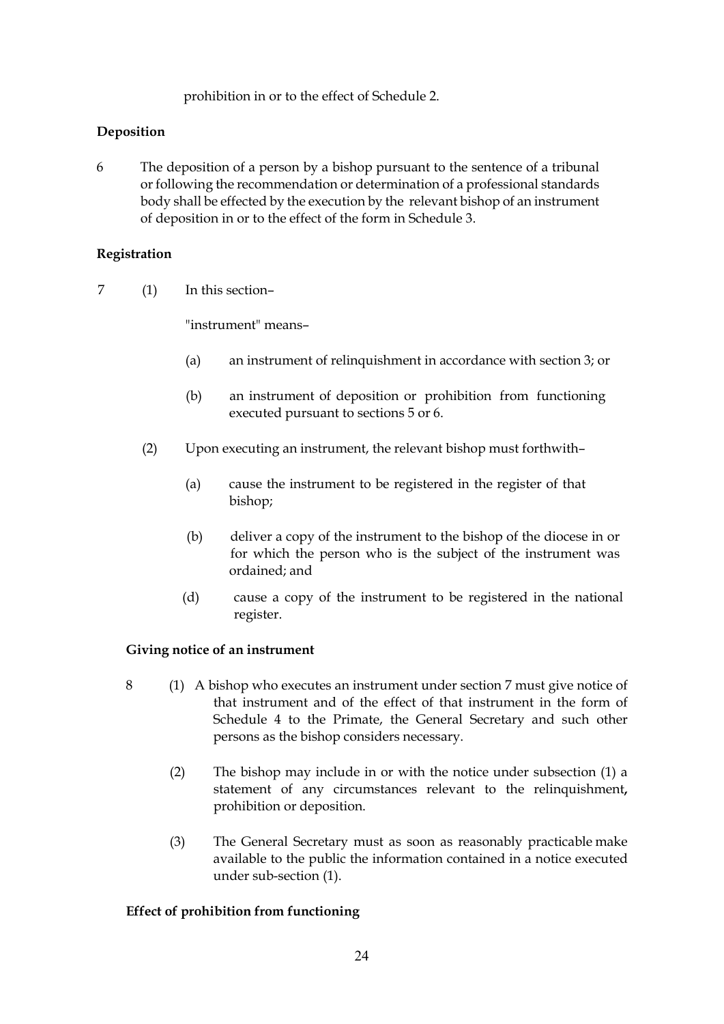prohibition in or to the effect of Schedule 2.

### **Deposition**

6 The deposition of a person by a bishop pursuant to the sentence of a tribunal or following the recommendation or determination of a professional standards body shall be effected by the execution by the relevant bishop of an instrument of deposition in or to the effect of the form in Schedule 3.

### **Registration**

7 (1) In this section–

"instrument" means–

- (a) an instrument of relinquishment in accordance with section 3; or
- (b) an instrument of deposition or prohibition from functioning executed pursuant to sections 5 or 6.
- (2) Upon executing an instrument, the relevant bishop must forthwith–
	- (a) cause the instrument to be registered in the register of that bishop;
	- (b) deliver a copy of the instrument to the bishop of the diocese in or for which the person who is the subject of the instrument was ordained; and
	- (d) cause a copy of the instrument to be registered in the national register.

### **Giving notice of an instrument**

- 8 (1) A bishop who executes an instrument under section 7 must give notice of that instrument and of the effect of that instrument in the form of Schedule 4 to the Primate, the General Secretary and such other persons as the bishop considers necessary.
	- (2) The bishop may include in or with the notice under subsection (1) a statement of any circumstances relevant to the relinquishment**,** prohibition or deposition.
	- (3) The General Secretary must as soon as reasonably practicable make available to the public the information contained in a notice executed under sub-section (1).

### **Effect of prohibition from functioning**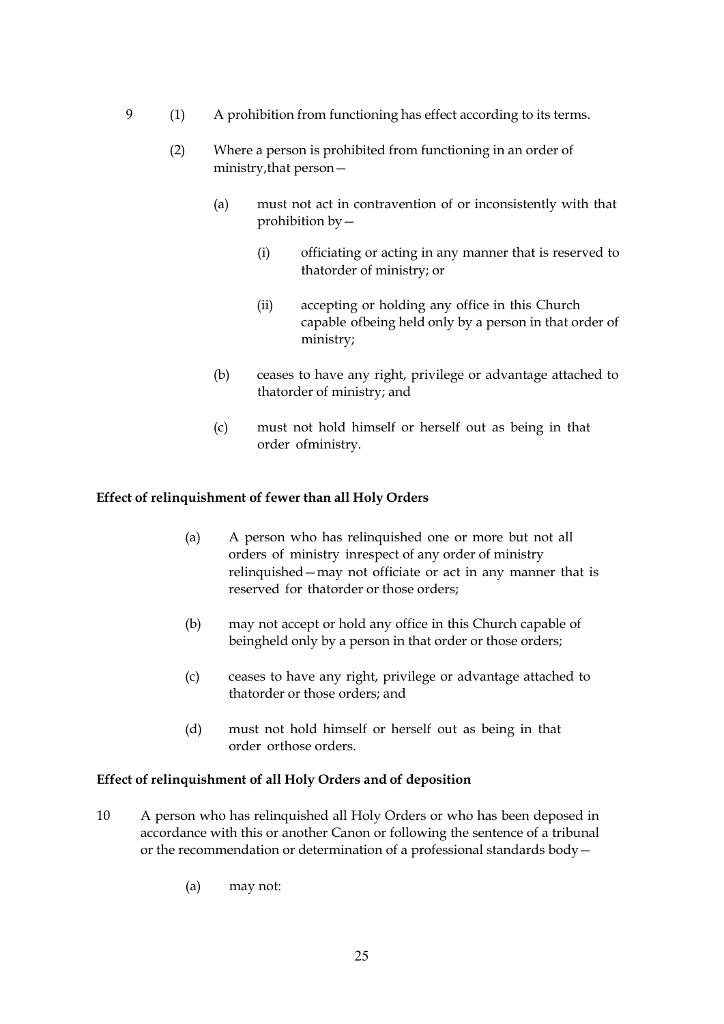- 9 (1) A prohibition from functioning has effect according to its terms.
	- (2) Where a person is prohibited from functioning in an order of ministry,that person—
		- (a) must not act in contravention of or inconsistently with that prohibition by—
			- (i) officiating or acting in any manner that is reserved to thatorder of ministry; or
			- (ii) accepting or holding any office in this Church capable ofbeing held only by a person in that order of ministry;
		- (b) ceases to have any right, privilege or advantage attached to thatorder of ministry; and
		- (c) must not hold himself or herself out as being in that order ofministry.

### **Effect of relinquishment of fewer than all Holy Orders**

- (a) A person who has relinquished one or more but not all orders of ministry inrespect of any order of ministry relinquished—may not officiate or act in any manner that is reserved for thatorder or those orders;
- (b) may not accept or hold any office in this Church capable of beingheld only by a person in that order or those orders;
- (c) ceases to have any right, privilege or advantage attached to thatorder or those orders; and
- (d) must not hold himself or herself out as being in that order orthose orders.

### **Effect of relinquishment of all Holy Orders and of deposition**

- 10 A person who has relinquished all Holy Orders or who has been deposed in accordance with this or another Canon or following the sentence of a tribunal or the recommendation or determination of a professional standards body—
	- (a) may not: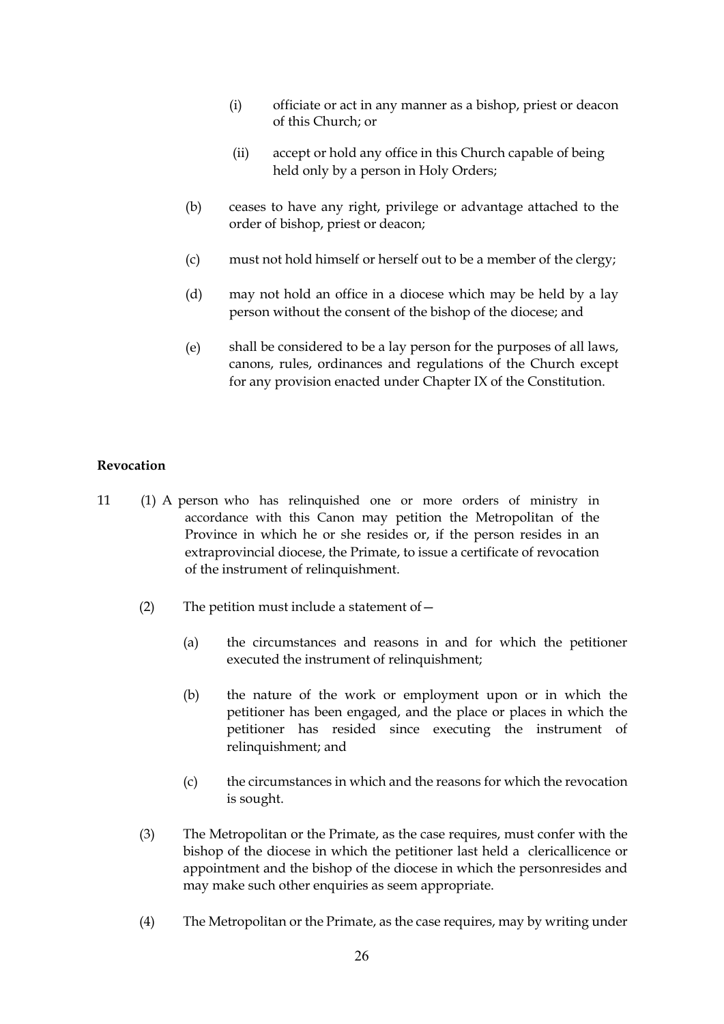- (i) officiate or act in any manner as a bishop, priest or deacon of this Church; or
- (ii) accept or hold any office in this Church capable of being held only by a person in Holy Orders;
- (b) ceases to have any right, privilege or advantage attached to the order of bishop, priest or deacon;
- (c) must not hold himself or herself out to be a member of the clergy;
- (d) may not hold an office in a diocese which may be held by a lay person without the consent of the bishop of the diocese; and
- (e) shall be considered to be a lay person for the purposes of all laws, canons, rules, ordinances and regulations of the Church except for any provision enacted under Chapter IX of the Constitution.

#### **Revocation**

- 11 (1) A person who has relinquished one or more orders of ministry in accordance with this Canon may petition the Metropolitan of the Province in which he or she resides or, if the person resides in an extraprovincial diocese, the Primate, to issue a certificate of revocation of the instrument of relinquishment.
	- (2) The petition must include a statement of  $-$ 
		- (a) the circumstances and reasons in and for which the petitioner executed the instrument of relinquishment;
		- (b) the nature of the work or employment upon or in which the petitioner has been engaged, and the place or places in which the petitioner has resided since executing the instrument of relinquishment; and
		- (c) the circumstances in which and the reasons for which the revocation is sought.
	- (3) The Metropolitan or the Primate, as the case requires, must confer with the bishop of the diocese in which the petitioner last held a clericallicence or appointment and the bishop of the diocese in which the personresides and may make such other enquiries as seem appropriate.
	- (4) The Metropolitan or the Primate, as the case requires, may by writing under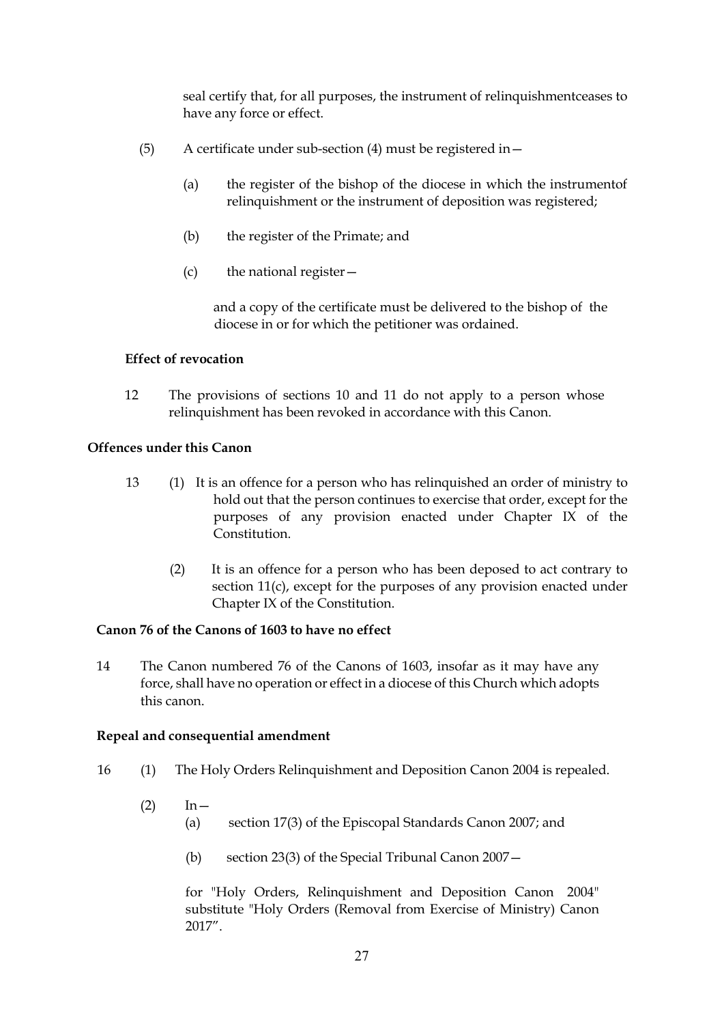seal certify that, for all purposes, the instrument of relinquishmentceases to have any force or effect.

- (5) A certificate under sub-section (4) must be registered in—
	- (a) the register of the bishop of the diocese in which the instrumentof relinquishment or the instrument of deposition was registered;
	- (b) the register of the Primate; and
	- $(c)$  the national register  $-$

and a copy of the certificate must be delivered to the bishop of the diocese in or for which the petitioner was ordained.

### **Effect of revocation**

12 The provisions of sections 10 and 11 do not apply to a person whose relinquishment has been revoked in accordance with this Canon.

### **Offences under this Canon**

- 13 (1) It is an offence for a person who has relinquished an order of ministry to hold out that the person continues to exercise that order, except for the purposes of any provision enacted under Chapter IX of the **Constitution** 
	- (2) It is an offence for a person who has been deposed to act contrary to section 11(c), except for the purposes of any provision enacted under Chapter IX of the Constitution.

### **Canon 76 of the Canons of 1603 to have no effect**

14 The Canon numbered 76 of the Canons of 1603, insofar as it may have any force, shall have no operation or effect in a diocese of this Church which adopts this canon.

#### **Repeal and consequential amendment**

- 16 (1) The Holy Orders Relinquishment and Deposition Canon 2004 is repealed.
	- $(2)$  In  $-$ 
		- (a) section 17(3) of the Episcopal Standards Canon 2007; and
			- (b) section 23(3) of the Special Tribunal Canon 2007—

for "Holy Orders, Relinquishment and Deposition Canon 2004" substitute "Holy Orders (Removal from Exercise of Ministry) Canon 2017".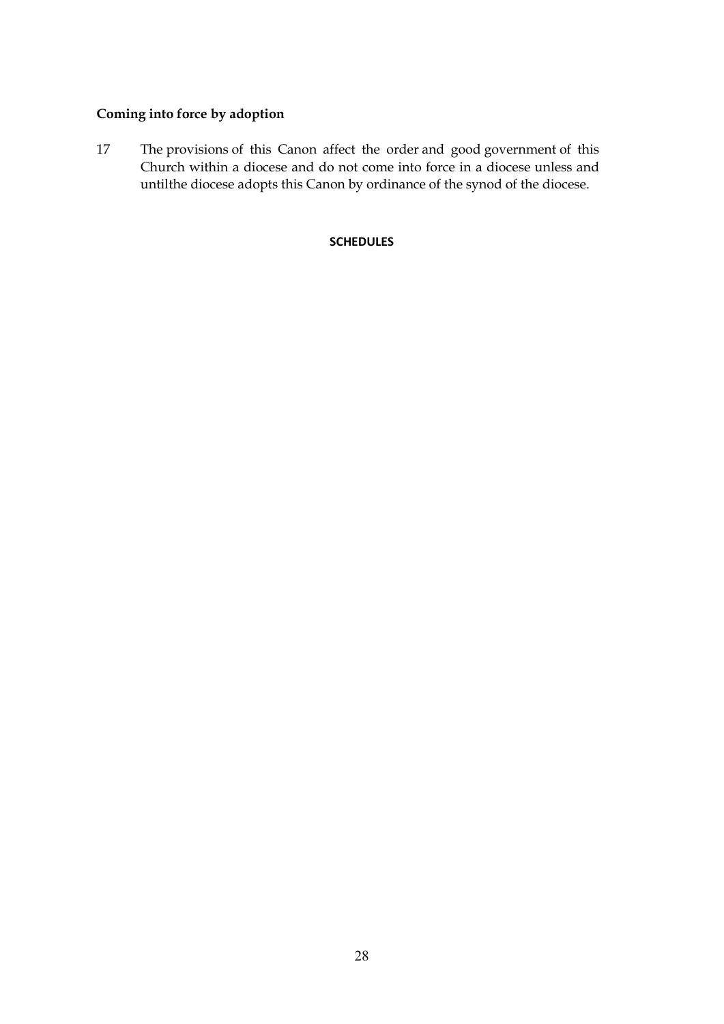### **Coming into force by adoption**

17 The provisions of this Canon affect the order and good government of this Church within a diocese and do not come into force in a diocese unless and untilthe diocese adopts this Canon by ordinance of the synod of the diocese.

### **SCHEDULES**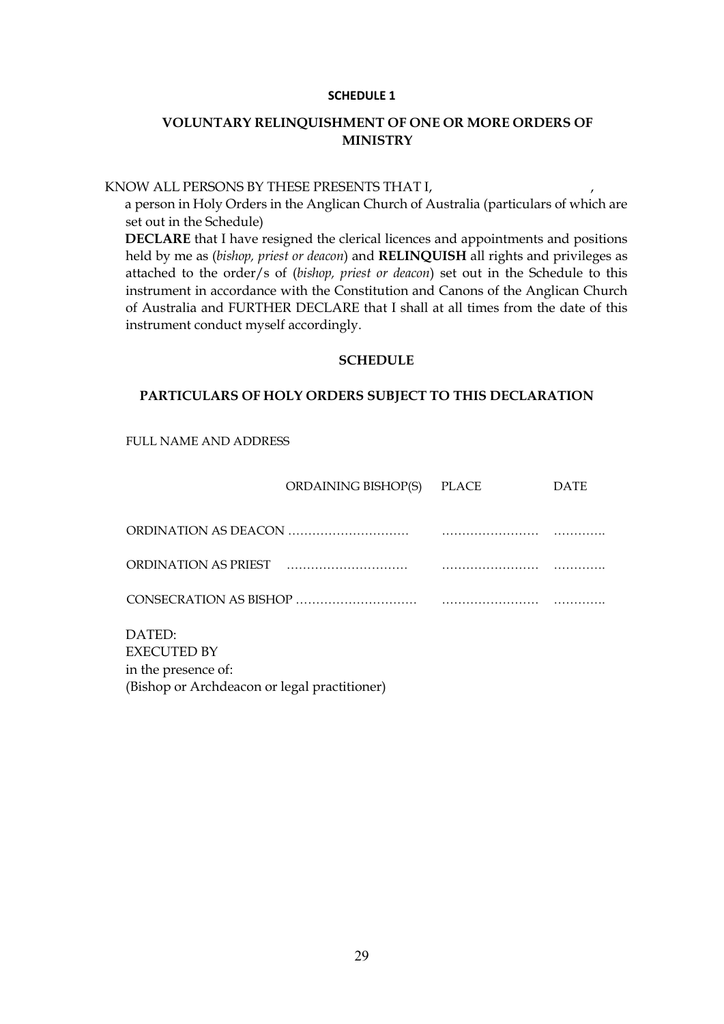#### **SCHEDULE 1**

### **VOLUNTARY RELINQUISHMENT OF ONE OR MORE ORDERS OF MINISTRY**

#### KNOW ALL PERSONS BY THESE PRESENTS THAT I,

a person in Holy Orders in the Anglican Church of Australia (particulars of which are set out in the Schedule)

**DECLARE** that I have resigned the clerical licences and appointments and positions held by me as (*bishop, priest or deacon*) and **RELINQUISH** all rights and privileges as attached to the order/s of (*bishop, priest or deacon*) set out in the Schedule to this instrument in accordance with the Constitution and Canons of the Anglican Church of Australia and FURTHER DECLARE that I shall at all times from the date of this instrument conduct myself accordingly.

### **SCHEDULE**

#### **PARTICULARS OF HOLY ORDERS SUBJECT TO THIS DECLARATION**

FULL NAME AND ADDRESS

|                                                     | ORDAINING BISHOP(S) | <b>PLACE</b> | <b>DATE</b> |
|-----------------------------------------------------|---------------------|--------------|-------------|
|                                                     |                     |              |             |
| ORDINATION AS PRIEST                                |                     |              |             |
|                                                     |                     |              |             |
| DATED:<br><b>EXECUTED BY</b><br>in the presence of: |                     |              |             |
| (Bishop or Archdeacon or legal practitioner)        |                     |              |             |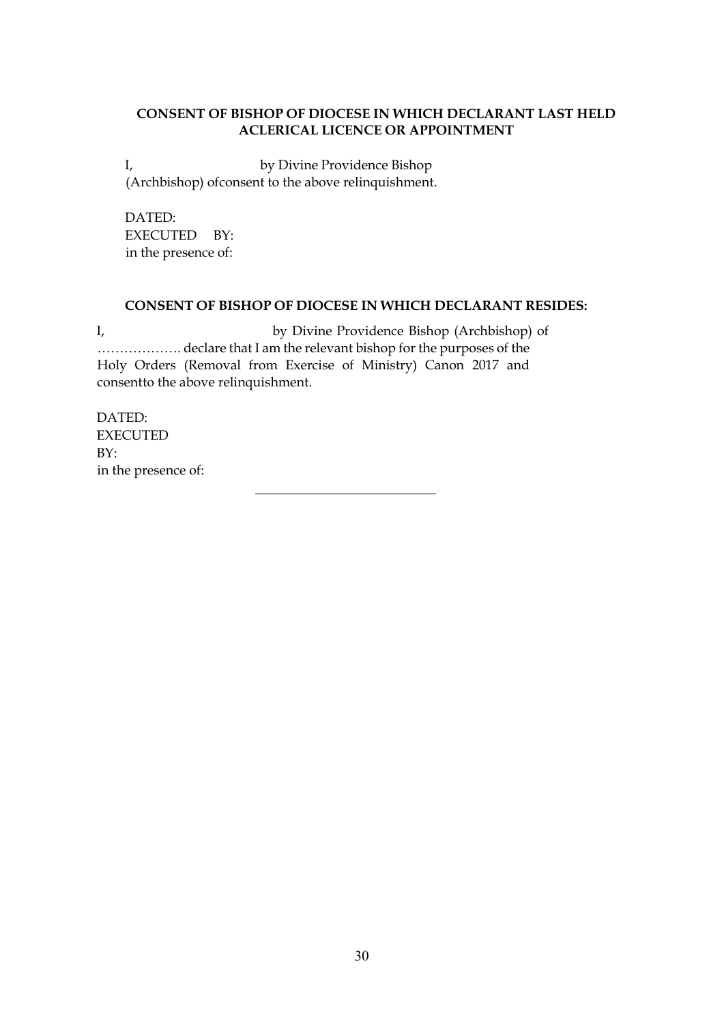### **CONSENT OF BISHOP OF DIOCESE IN WHICH DECLARANT LAST HELD ACLERICAL LICENCE OR APPOINTMENT**

I, by Divine Providence Bishop (Archbishop) ofconsent to the above relinquishment.

DATED: EXECUTED BY: in the presence of:

### **CONSENT OF BISHOP OF DIOCESE IN WHICH DECLARANT RESIDES:**

I, by Divine Providence Bishop (Archbishop) of ………………. declare that I am the relevant bishop for the purposes of the Holy Orders (Removal from Exercise of Ministry) Canon 2017 and consentto the above relinquishment.

DATED: EXECUTED BY: in the presence of: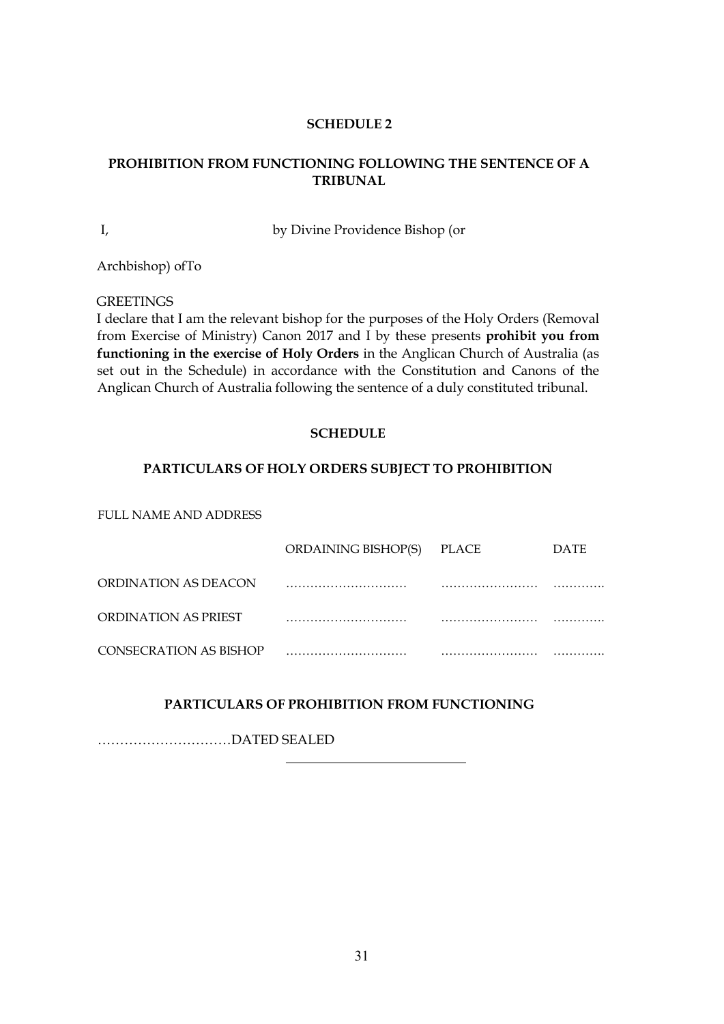### **SCHEDULE 2**

### **PROHIBITION FROM FUNCTIONING FOLLOWING THE SENTENCE OF A TRIBUNAL**

I, by Divine Providence Bishop (or

Archbishop) ofTo

**GREETINGS** 

I declare that I am the relevant bishop for the purposes of the Holy Orders (Removal from Exercise of Ministry) Canon 2017 and I by these presents **prohibit you from functioning in the exercise of Holy Orders** in the Anglican Church of Australia (as set out in the Schedule) in accordance with the Constitution and Canons of the Anglican Church of Australia following the sentence of a duly constituted tribunal.

### **SCHEDULE**

### **PARTICULARS OF HOLY ORDERS SUBJECT TO PROHIBITION**

FULL NAME AND ADDRESS

|                        | ORDAINING BISHOP(S) | PLACE | <b>DATE</b> |
|------------------------|---------------------|-------|-------------|
| ORDINATION AS DEACON   |                     |       |             |
| ORDINATION AS PRIEST   |                     |       |             |
| CONSECRATION AS BISHOP |                     |       |             |

### **PARTICULARS OF PROHIBITION FROM FUNCTIONING**

…………………………DATED SEALED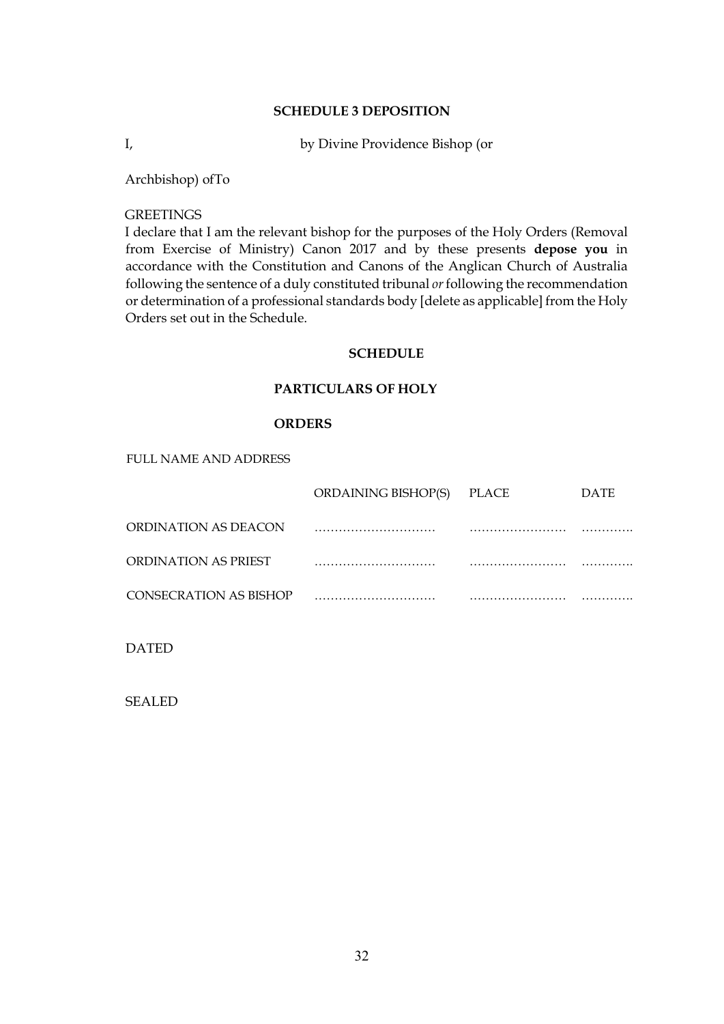#### **SCHEDULE 3 DEPOSITION**

I, by Divine Providence Bishop (or

Archbishop) ofTo

#### **GREETINGS**

I declare that I am the relevant bishop for the purposes of the Holy Orders (Removal from Exercise of Ministry) Canon 2017 and by these presents **depose you** in accordance with the Constitution and Canons of the Anglican Church of Australia following the sentence of a duly constituted tribunal *or*following the recommendation or determination of a professional standards body [delete as applicable] from the Holy Orders set out in the Schedule.

### **SCHEDULE**

### **PARTICULARS OF HOLY**

#### **ORDERS**

FULL NAME AND ADDRESS

|                        | ORDAINING BISHOP(S) | PLACE | DATE |
|------------------------|---------------------|-------|------|
| ORDINATION AS DEACON   |                     |       |      |
| ORDINATION AS PRIEST   |                     |       |      |
| CONSECRATION AS BISHOP |                     |       |      |
|                        |                     |       |      |

DATED

SEALED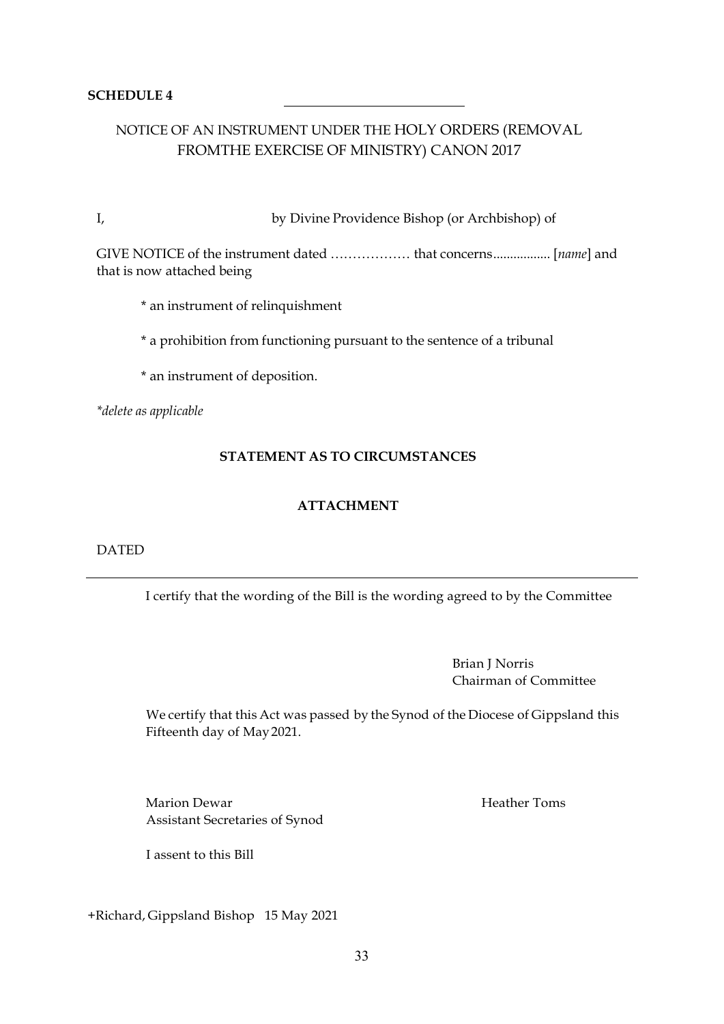### **SCHEDULE 4**

### NOTICE OF AN INSTRUMENT UNDER THE HOLY ORDERS (REMOVAL FROMTHE EXERCISE OF MINISTRY) CANON 2017

I, by Divine Providence Bishop (or Archbishop) of

GIVE NOTICE of the instrument dated ……………… that concerns................. [*name*] and that is now attached being

\* an instrument of relinquishment

\* a prohibition from functioning pursuant to the sentence of a tribunal

\* an instrument of deposition.

*\*delete as applicable*

### **STATEMENT AS TO CIRCUMSTANCES**

### **ATTACHMENT**

#### DATED

I certify that the wording of the Bill is the wording agreed to by the Committee

Brian J Norris Chairman of Committee

We certify that this Act was passed by the Synod of the Diocese of Gippsland this Fifteenth day of May2021.

Marion Dewar **Heather Toms** Assistant Secretaries of Synod

I assent to this Bill

+Richard, Gippsland Bishop 15 May 2021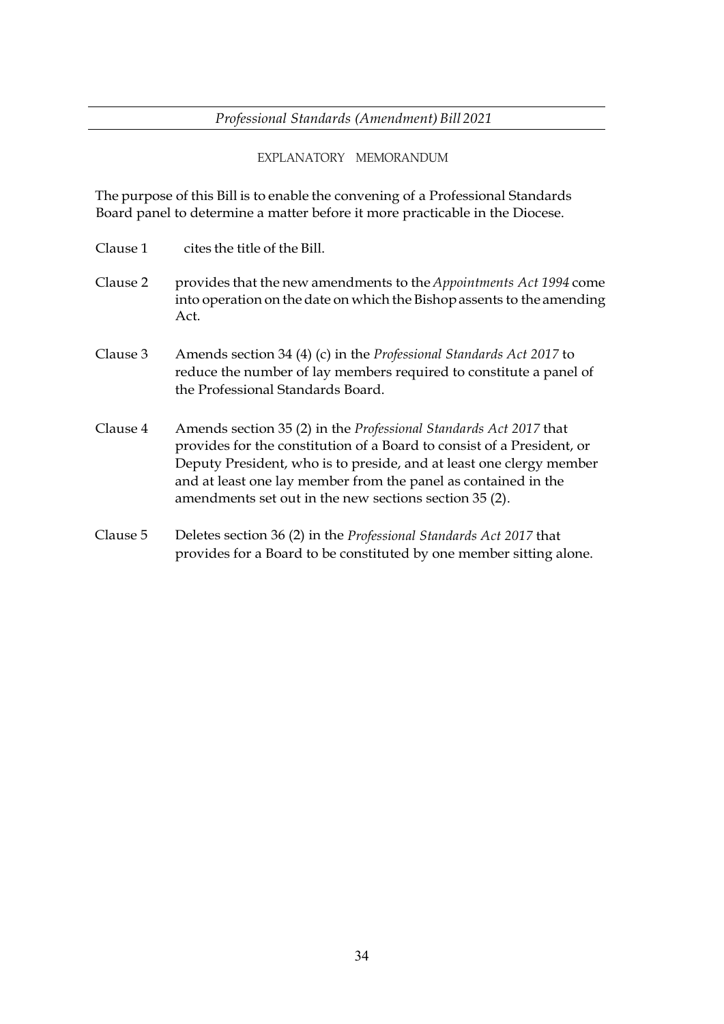*Professional Standards (Amendment) Bill 2021*

EXPLANATORY MEMORANDUM

The purpose of this Bill is to enable the convening of a Professional Standards Board panel to determine a matter before it more practicable in the Diocese.

| Clause 1 | cites the title of the Bill.                                                                                                                                                                                                                                                                                                                          |
|----------|-------------------------------------------------------------------------------------------------------------------------------------------------------------------------------------------------------------------------------------------------------------------------------------------------------------------------------------------------------|
| Clause 2 | provides that the new amendments to the Appointments Act 1994 come<br>into operation on the date on which the Bishop assents to the amending<br>Act.                                                                                                                                                                                                  |
| Clause 3 | Amends section 34 (4) (c) in the <i>Professional Standards Act 2017</i> to<br>reduce the number of lay members required to constitute a panel of<br>the Professional Standards Board.                                                                                                                                                                 |
| Clause 4 | Amends section 35 (2) in the <i>Professional Standards Act 2017</i> that<br>provides for the constitution of a Board to consist of a President, or<br>Deputy President, who is to preside, and at least one clergy member<br>and at least one lay member from the panel as contained in the<br>amendments set out in the new sections section 35 (2). |
| Clause 5 | Deletes section 36 (2) in the <i>Professional Standards Act 2017</i> that<br>provides for a Board to be constituted by one member sitting alone.                                                                                                                                                                                                      |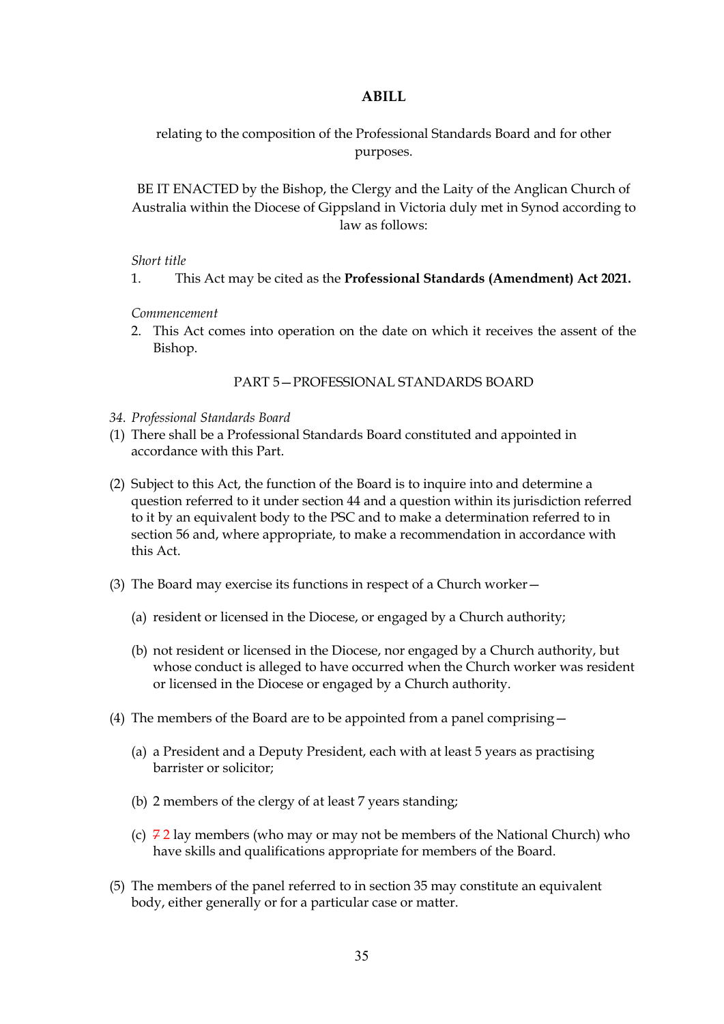### **ABILL**

relating to the composition of the Professional Standards Board and for other purposes.

BE IT ENACTED by the Bishop, the Clergy and the Laity of the Anglican Church of Australia within the Diocese of Gippsland in Victoria duly met in Synod according to law as follows:

### *Short title*

1. This Act may be cited as the **Professional Standards (Amendment) Act 2021.**

### *Commencement*

2. This Act comes into operation on the date on which it receives the assent of the Bishop.

### PART 5—PROFESSIONAL STANDARDS BOARD

- *34. Professional Standards Board*
- (1) There shall be a Professional Standards Board constituted and appointed in accordance with this Part.
- (2) Subject to this Act, the function of the Board is to inquire into and determine a question referred to it under section 44 and a question within its jurisdiction referred to it by an equivalent body to the PSC and to make a determination referred to in section 56 and, where appropriate, to make a recommendation in accordance with this Act.
- (3) The Board may exercise its functions in respect of a Church worker—
	- (a) resident or licensed in the Diocese, or engaged by a Church authority;
	- (b) not resident or licensed in the Diocese, nor engaged by a Church authority, but whose conduct is alleged to have occurred when the Church worker was resident or licensed in the Diocese or engaged by a Church authority.
- (4) The members of the Board are to be appointed from a panel comprising—
	- (a) a President and a Deputy President, each with at least 5 years as practising barrister or solicitor;
	- (b) 2 members of the clergy of at least 7 years standing;
	- (c)  $72 \text{ lay members}$  (who may or may not be members of the National Church) who have skills and qualifications appropriate for members of the Board.
- (5) The members of the panel referred to in section 35 may constitute an equivalent body, either generally or for a particular case or matter.